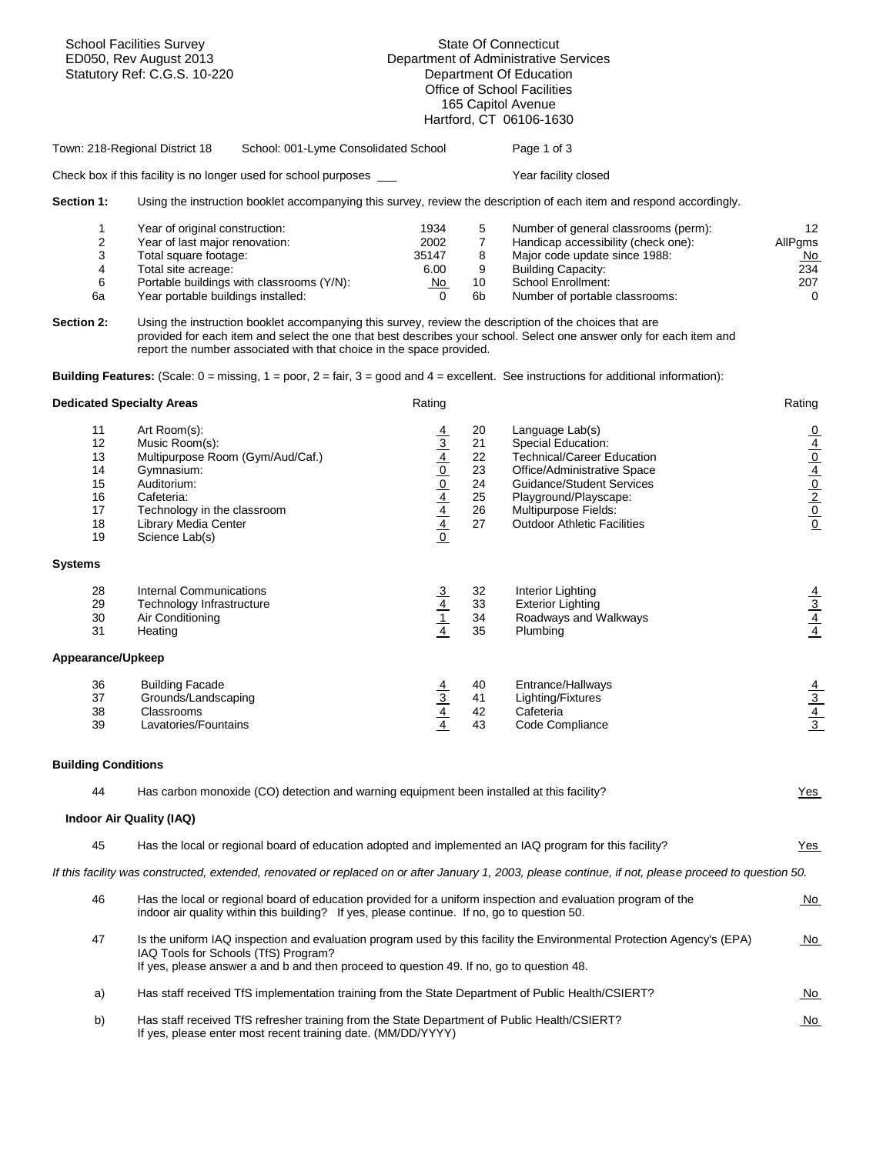| <b>School Facilities Survey</b><br>ED050, Rev August 2013<br>Statutory Ref: C.G.S. 10-220 |                                                                                                                                                                                                                                                                                                                                                                                       | <b>State Of Connecticut</b><br>Department of Administrative Services<br>Department Of Education<br>Office of School Facilities<br>165 Capitol Avenue<br>Hartford, CT 06106-1630 |                                              |                                                                                                                                                                                                                                                                                                                                 |                                                                   |  |
|-------------------------------------------------------------------------------------------|---------------------------------------------------------------------------------------------------------------------------------------------------------------------------------------------------------------------------------------------------------------------------------------------------------------------------------------------------------------------------------------|---------------------------------------------------------------------------------------------------------------------------------------------------------------------------------|----------------------------------------------|---------------------------------------------------------------------------------------------------------------------------------------------------------------------------------------------------------------------------------------------------------------------------------------------------------------------------------|-------------------------------------------------------------------|--|
|                                                                                           | School: 001-Lyme Consolidated School<br>Town: 218-Regional District 18                                                                                                                                                                                                                                                                                                                |                                                                                                                                                                                 |                                              | Page 1 of 3                                                                                                                                                                                                                                                                                                                     |                                                                   |  |
|                                                                                           | Check box if this facility is no longer used for school purposes                                                                                                                                                                                                                                                                                                                      |                                                                                                                                                                                 |                                              | Year facility closed                                                                                                                                                                                                                                                                                                            |                                                                   |  |
| Section 1:                                                                                |                                                                                                                                                                                                                                                                                                                                                                                       |                                                                                                                                                                                 |                                              | Using the instruction booklet accompanying this survey, review the description of each item and respond accordingly.                                                                                                                                                                                                            |                                                                   |  |
| 1<br>2<br>3<br>4<br>6<br>6a<br><b>Section 2:</b>                                          | Year of original construction:<br>Year of last major renovation:<br>Total square footage:<br>Total site acreage:<br>Portable buildings with classrooms (Y/N):<br>Year portable buildings installed:<br>Using the instruction booklet accompanying this survey, review the description of the choices that are<br>report the number associated with that choice in the space provided. | 1934<br>2002<br>35147<br>6.00<br>No<br>0                                                                                                                                        | 5<br>$\overline{7}$<br>8<br>9<br>10<br>6b    | Number of general classrooms (perm):<br>Handicap accessibility (check one):<br>Major code update since 1988:<br><b>Building Capacity:</b><br><b>School Enrollment:</b><br>Number of portable classrooms:<br>provided for each item and select the one that best describes your school. Select one answer only for each item and | 12<br>AllPgms<br>No<br>234<br>207<br>$\mathbf 0$                  |  |
|                                                                                           | <b>Building Features:</b> (Scale: $0 = \text{missing}$ , $1 = \text{poor}$ , $2 = \text{fair}$ , $3 = \text{good}$ and $4 = \text{excellent}$ . See instructions for additional information):                                                                                                                                                                                         |                                                                                                                                                                                 |                                              |                                                                                                                                                                                                                                                                                                                                 |                                                                   |  |
| <b>Dedicated Specialty Areas</b>                                                          |                                                                                                                                                                                                                                                                                                                                                                                       | Rating                                                                                                                                                                          |                                              |                                                                                                                                                                                                                                                                                                                                 | Rating                                                            |  |
| 11<br>12<br>13<br>14<br>15<br>16<br>17<br>18<br>19                                        | Art Room(s):<br>Music Room(s):<br>Multipurpose Room (Gym/Aud/Caf.)<br>Gymnasium:<br>Auditorium:<br>Cafeteria:<br>Technology in the classroom<br><b>Library Media Center</b><br>Science Lab(s)                                                                                                                                                                                         | $\frac{4}{3}$ $\frac{4}{10}$ $\frac{0}{4}$ $\frac{4}{4}$ $\frac{4}{10}$                                                                                                         | 20<br>21<br>22<br>23<br>24<br>25<br>26<br>27 | Language Lab(s)<br>Special Education:<br><b>Technical/Career Education</b><br>Office/Administrative Space<br>Guidance/Student Services<br>Playground/Playscape:<br>Multipurpose Fields:<br><b>Outdoor Athletic Facilities</b>                                                                                                   | $rac{1}{\sqrt{10}}$<br>$rac{1}{\sqrt{10}}$<br>$rac{1}{\sqrt{10}}$ |  |
| <b>Systems</b>                                                                            |                                                                                                                                                                                                                                                                                                                                                                                       |                                                                                                                                                                                 |                                              |                                                                                                                                                                                                                                                                                                                                 |                                                                   |  |
| 28<br>29<br>30<br>31                                                                      | <b>Internal Communications</b><br>Technology Infrastructure<br>Air Conditioning<br>Heating                                                                                                                                                                                                                                                                                            | $\frac{\frac{3}{4}}{\frac{1}{4}}$                                                                                                                                               | 32<br>33<br>34<br>35                         | Interior Lighting<br><b>Exterior Lighting</b><br>Roadways and Walkways<br>Plumbing                                                                                                                                                                                                                                              | $\frac{\frac{4}{3}}{\frac{4}{4}}$                                 |  |
| Appearance/Upkeep                                                                         |                                                                                                                                                                                                                                                                                                                                                                                       |                                                                                                                                                                                 |                                              |                                                                                                                                                                                                                                                                                                                                 |                                                                   |  |
| 36<br>37<br>38<br>39                                                                      | <b>Building Facade</b><br>Grounds/Landscaping<br>Classrooms<br>Lavatories/Fountains                                                                                                                                                                                                                                                                                                   | $\frac{\frac{4}{3}}{\frac{4}{4}}$                                                                                                                                               | 40<br>41<br>42<br>43                         | Entrance/Hallways<br>Lighting/Fixtures<br>Cafeteria<br>Code Compliance                                                                                                                                                                                                                                                          | $\frac{\frac{4}{3}}{\frac{4}{3}}$                                 |  |
| <b>Building Conditions</b>                                                                |                                                                                                                                                                                                                                                                                                                                                                                       |                                                                                                                                                                                 |                                              |                                                                                                                                                                                                                                                                                                                                 |                                                                   |  |
| 44                                                                                        | Has carbon monoxide (CO) detection and warning equipment been installed at this facility?                                                                                                                                                                                                                                                                                             |                                                                                                                                                                                 |                                              |                                                                                                                                                                                                                                                                                                                                 | Yes                                                               |  |
|                                                                                           | Indoor Air Quality (IAQ)                                                                                                                                                                                                                                                                                                                                                              |                                                                                                                                                                                 |                                              |                                                                                                                                                                                                                                                                                                                                 |                                                                   |  |
| 45                                                                                        | Has the local or regional board of education adopted and implemented an IAQ program for this facility?                                                                                                                                                                                                                                                                                |                                                                                                                                                                                 |                                              |                                                                                                                                                                                                                                                                                                                                 | <u>Yes</u>                                                        |  |
|                                                                                           |                                                                                                                                                                                                                                                                                                                                                                                       |                                                                                                                                                                                 |                                              | If this facility was constructed, extended, renovated or replaced on or after January 1, 2003, please continue, if not, please proceed to question 50.                                                                                                                                                                          |                                                                   |  |
| 46                                                                                        | Has the local or regional board of education provided for a uniform inspection and evaluation program of the<br>indoor air quality within this building? If yes, please continue. If no, go to question 50.                                                                                                                                                                           |                                                                                                                                                                                 |                                              |                                                                                                                                                                                                                                                                                                                                 | $No$                                                              |  |
| 47                                                                                        | IAQ Tools for Schools (TfS) Program?<br>If yes, please answer a and b and then proceed to question 49. If no, go to question 48.                                                                                                                                                                                                                                                      |                                                                                                                                                                                 |                                              | Is the uniform IAQ inspection and evaluation program used by this facility the Environmental Protection Agency's (EPA)                                                                                                                                                                                                          | <u>No</u>                                                         |  |
| a)                                                                                        | Has staff received TfS implementation training from the State Department of Public Health/CSIERT?                                                                                                                                                                                                                                                                                     |                                                                                                                                                                                 |                                              |                                                                                                                                                                                                                                                                                                                                 | <u>No</u>                                                         |  |
| b)                                                                                        | Has staff received TfS refresher training from the State Department of Public Health/CSIERT?<br>If yes, please enter most recent training date. (MM/DD/YYYY)                                                                                                                                                                                                                          |                                                                                                                                                                                 |                                              |                                                                                                                                                                                                                                                                                                                                 | <u>No</u>                                                         |  |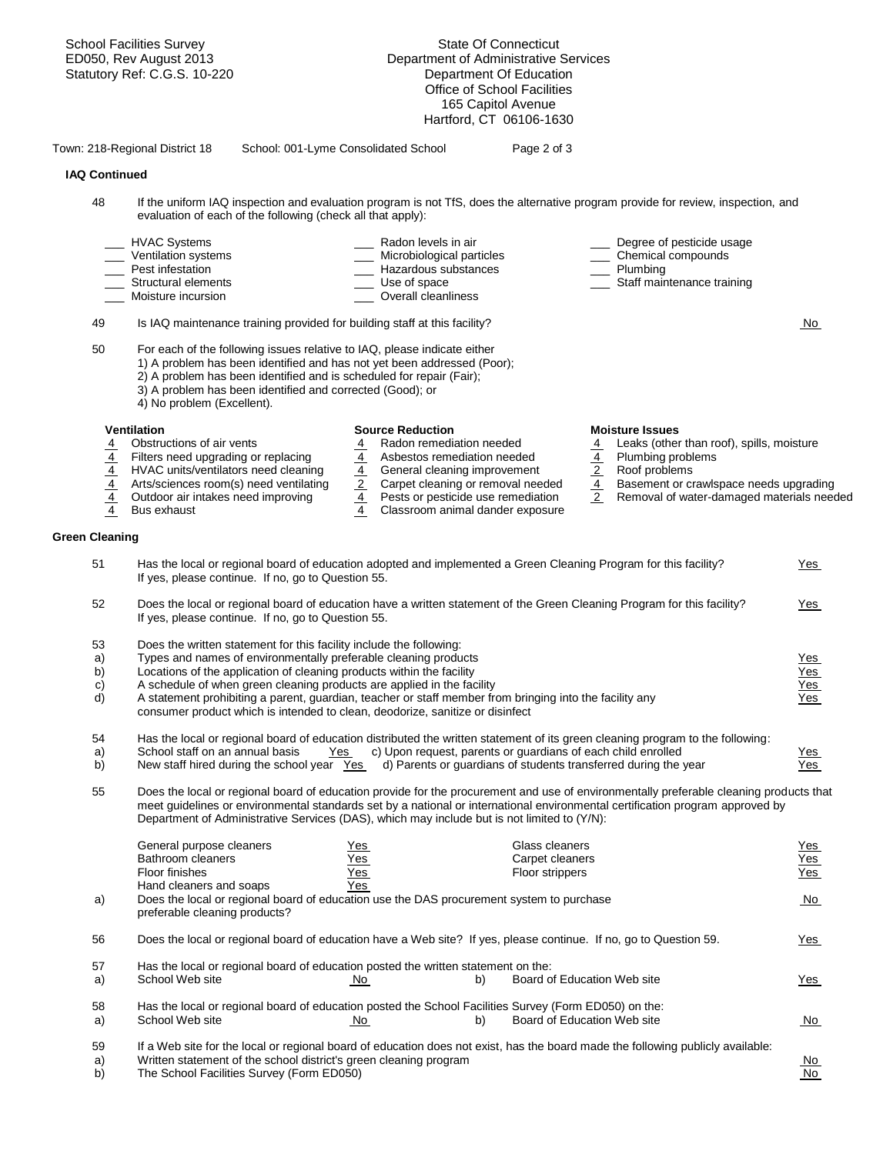|                                   | <b>School Facilities Survey</b><br>ED050, Rev August 2013<br>Statutory Ref: C.G.S. 10-220                                                                                                                                                                                                                                                                              |                                   | <b>State Of Connecticut</b><br>Department of Administrative Services<br>Department Of Education<br><b>Office of School Facilities</b><br>165 Capitol Avenue<br>Hartford, CT 06106-1630 |                |                                                                                                        |            |
|-----------------------------------|------------------------------------------------------------------------------------------------------------------------------------------------------------------------------------------------------------------------------------------------------------------------------------------------------------------------------------------------------------------------|-----------------------------------|----------------------------------------------------------------------------------------------------------------------------------------------------------------------------------------|----------------|--------------------------------------------------------------------------------------------------------|------------|
|                                   | Town: 218-Regional District 18<br>School: 001-Lyme Consolidated School                                                                                                                                                                                                                                                                                                 |                                   | Page 2 of 3                                                                                                                                                                            |                |                                                                                                        |            |
| <b>IAQ Continued</b>              |                                                                                                                                                                                                                                                                                                                                                                        |                                   |                                                                                                                                                                                        |                |                                                                                                        |            |
| 48                                | If the uniform IAQ inspection and evaluation program is not TfS, does the alternative program provide for review, inspection, and<br>evaluation of each of the following (check all that apply):                                                                                                                                                                       |                                   |                                                                                                                                                                                        |                |                                                                                                        |            |
|                                   | <b>HVAC Systems</b>                                                                                                                                                                                                                                                                                                                                                    | Radon levels in air               |                                                                                                                                                                                        |                | Degree of pesticide usage                                                                              |            |
|                                   | Ventilation systems<br>Pest infestation                                                                                                                                                                                                                                                                                                                                | Hazardous substances              | Microbiological particles                                                                                                                                                              |                | Chemical compounds<br>Plumbing                                                                         |            |
|                                   | Structural elements                                                                                                                                                                                                                                                                                                                                                    | Use of space                      |                                                                                                                                                                                        |                | Staff maintenance training                                                                             |            |
|                                   | Moisture incursion                                                                                                                                                                                                                                                                                                                                                     | Overall cleanliness               |                                                                                                                                                                                        |                |                                                                                                        |            |
| 49                                | Is IAQ maintenance training provided for building staff at this facility?                                                                                                                                                                                                                                                                                              |                                   |                                                                                                                                                                                        |                |                                                                                                        | No.        |
| 50                                | For each of the following issues relative to IAQ, please indicate either<br>1) A problem has been identified and has not yet been addressed (Poor);<br>2) A problem has been identified and is scheduled for repair (Fair);<br>3) A problem has been identified and corrected (Good); or<br>4) No problem (Excellent).                                                 |                                   |                                                                                                                                                                                        |                |                                                                                                        |            |
|                                   | <b>Ventilation</b>                                                                                                                                                                                                                                                                                                                                                     | <b>Source Reduction</b>           |                                                                                                                                                                                        |                | <b>Moisture Issues</b>                                                                                 |            |
| $\frac{\frac{4}{4}}{\frac{4}{4}}$ | Obstructions of air vents                                                                                                                                                                                                                                                                                                                                              | $\overline{4}$                    | Radon remediation needed                                                                                                                                                               | $\overline{4}$ | Leaks (other than roof), spills, moisture                                                              |            |
|                                   | Filters need upgrading or replacing<br>HVAC units/ventilators need cleaning                                                                                                                                                                                                                                                                                            | $\frac{\frac{4}{4}}{\frac{2}{4}}$ | Asbestos remediation needed<br>General cleaning improvement                                                                                                                            |                | $\frac{4}{2}$ Plumbing problems<br>$\frac{4}{2}$ Basement or cr<br>Removal of wat<br>Plumbing problems |            |
|                                   | Arts/sciences room(s) need ventilating                                                                                                                                                                                                                                                                                                                                 |                                   | Carpet cleaning or removal needed                                                                                                                                                      |                | Basement or crawlspace needs upgrading                                                                 |            |
|                                   | Outdoor air intakes need improving                                                                                                                                                                                                                                                                                                                                     |                                   | Pests or pesticide use remediation                                                                                                                                                     |                | Removal of water-damaged materials needed                                                              |            |
| $\overline{4}$                    | Bus exhaust                                                                                                                                                                                                                                                                                                                                                            |                                   | Classroom animal dander exposure                                                                                                                                                       |                |                                                                                                        |            |
| <b>Green Cleaning</b>             |                                                                                                                                                                                                                                                                                                                                                                        |                                   |                                                                                                                                                                                        |                |                                                                                                        |            |
| 51                                | Has the local or regional board of education adopted and implemented a Green Cleaning Program for this facility?<br>If yes, please continue. If no, go to Question 55.                                                                                                                                                                                                 |                                   |                                                                                                                                                                                        |                |                                                                                                        | <u>Yes</u> |
| 52                                | Does the local or regional board of education have a written statement of the Green Cleaning Program for this facility?<br>If yes, please continue. If no, go to Question 55.                                                                                                                                                                                          |                                   |                                                                                                                                                                                        |                |                                                                                                        | <u>Yes</u> |
| 53                                | Does the written statement for this facility include the following:                                                                                                                                                                                                                                                                                                    |                                   |                                                                                                                                                                                        |                |                                                                                                        |            |
| a)                                | Types and names of environmentally preferable cleaning products                                                                                                                                                                                                                                                                                                        |                                   |                                                                                                                                                                                        |                |                                                                                                        | <u>Yes</u> |
| b)                                | Locations of the application of cleaning products within the facility                                                                                                                                                                                                                                                                                                  |                                   |                                                                                                                                                                                        |                |                                                                                                        | Yes        |
| C)                                | A schedule of when green cleaning products are applied in the facility                                                                                                                                                                                                                                                                                                 |                                   |                                                                                                                                                                                        |                |                                                                                                        | Yes        |
| d)                                | A statement prohibiting a parent, guardian, teacher or staff member from bringing into the facility any<br>consumer product which is intended to clean, deodorize, sanitize or disinfect                                                                                                                                                                               |                                   |                                                                                                                                                                                        |                |                                                                                                        | <u>Yes</u> |
| 54                                | Has the local or regional board of education distributed the written statement of its green cleaning program to the following:                                                                                                                                                                                                                                         |                                   |                                                                                                                                                                                        |                |                                                                                                        |            |
| a)                                | School staff on an annual basis<br>Yes                                                                                                                                                                                                                                                                                                                                 |                                   | c) Upon request, parents or quardians of each child enrolled                                                                                                                           |                |                                                                                                        | <u>Yes</u> |
| b)                                | New staff hired during the school year Yes                                                                                                                                                                                                                                                                                                                             |                                   | d) Parents or guardians of students transferred during the year                                                                                                                        |                |                                                                                                        | Yes        |
| 55                                | Does the local or regional board of education provide for the procurement and use of environmentally preferable cleaning products that<br>meet guidelines or environmental standards set by a national or international environmental certification program approved by<br>Department of Administrative Services (DAS), which may include but is not limited to (Y/N): |                                   |                                                                                                                                                                                        |                |                                                                                                        |            |
|                                   | General purpose cleaners                                                                                                                                                                                                                                                                                                                                               | Yes                               | Glass cleaners                                                                                                                                                                         |                |                                                                                                        | <u>Yes</u> |
|                                   | Bathroom cleaners                                                                                                                                                                                                                                                                                                                                                      | Yes                               | Carpet cleaners                                                                                                                                                                        |                |                                                                                                        | Yes        |
|                                   | Floor finishes                                                                                                                                                                                                                                                                                                                                                         | <u>Yes_</u>                       | Floor strippers                                                                                                                                                                        |                |                                                                                                        | Yes        |
|                                   | Hand cleaners and soaps                                                                                                                                                                                                                                                                                                                                                | Yes                               |                                                                                                                                                                                        |                |                                                                                                        |            |
| a)                                | Does the local or regional board of education use the DAS procurement system to purchase<br>preferable cleaning products?                                                                                                                                                                                                                                              |                                   |                                                                                                                                                                                        |                |                                                                                                        | No.        |
| 56                                | Does the local or regional board of education have a Web site? If yes, please continue. If no, go to Question 59.                                                                                                                                                                                                                                                      |                                   |                                                                                                                                                                                        |                |                                                                                                        | <u>Yes</u> |
| 57                                | Has the local or regional board of education posted the written statement on the:                                                                                                                                                                                                                                                                                      |                                   |                                                                                                                                                                                        |                |                                                                                                        |            |
| a)                                | School Web site                                                                                                                                                                                                                                                                                                                                                        | <u>No</u>                         | Board of Education Web site<br>b)                                                                                                                                                      |                |                                                                                                        | <u>Yes</u> |
| 58                                | Has the local or regional board of education posted the School Facilities Survey (Form ED050) on the:                                                                                                                                                                                                                                                                  |                                   |                                                                                                                                                                                        |                |                                                                                                        |            |
| a)                                | School Web site                                                                                                                                                                                                                                                                                                                                                        | <u>No</u>                         | Board of Education Web site<br>b)                                                                                                                                                      |                |                                                                                                        | <u>No</u>  |
| 59                                | If a Web site for the local or regional board of education does not exist, has the board made the following publicly available:                                                                                                                                                                                                                                        |                                   |                                                                                                                                                                                        |                |                                                                                                        |            |
| a)                                | Written statement of the school district's green cleaning program                                                                                                                                                                                                                                                                                                      |                                   |                                                                                                                                                                                        |                |                                                                                                        | <u>No</u>  |
| b)                                | The School Facilities Survey (Form ED050)                                                                                                                                                                                                                                                                                                                              |                                   |                                                                                                                                                                                        |                |                                                                                                        | No         |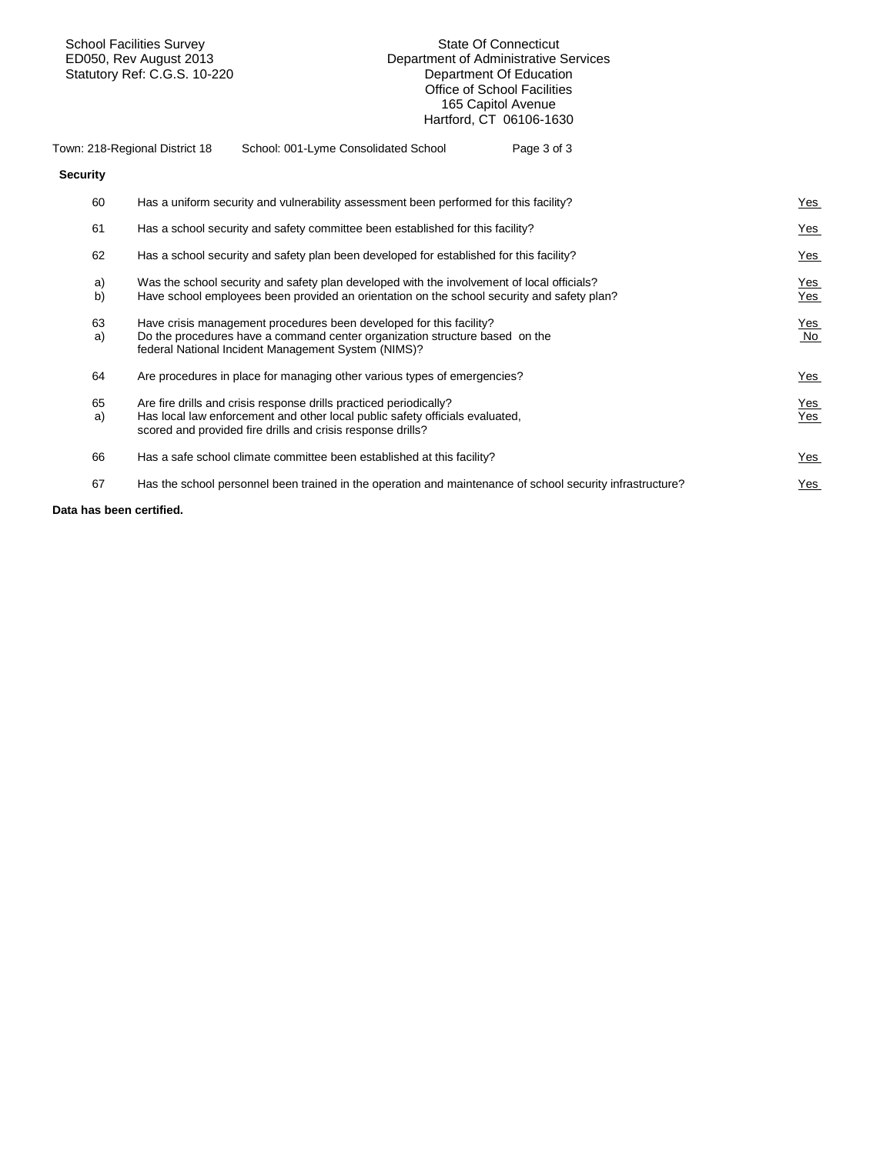School Facilities Survey State Of Connecticut Statutory Ref: C.G.S. 10-220 **Department Of Education** 

# Department of Administrative Services<br>Department Of Education Office of School Facilities 165 Capitol Avenue Hartford, CT 06106-1630

| Town: 218-Regional District 18 |  | School: 001-Lyme Consolidated School                                                  | Page 3 of 3 |
|--------------------------------|--|---------------------------------------------------------------------------------------|-------------|
| <b>Security</b>                |  |                                                                                       |             |
|                                |  | Hee a uniform coourity and vulnerability concompant been performed for this faoility? |             |

| 60       | Has a uniform security and vulnerability assessment been performed for this facility?                                                                                                                             | $Yes$             |
|----------|-------------------------------------------------------------------------------------------------------------------------------------------------------------------------------------------------------------------|-------------------|
| 61       | Has a school security and safety committee been established for this facility?                                                                                                                                    | Yes               |
| 62       | Has a school security and safety plan been developed for established for this facility?                                                                                                                           | <b>Yes</b>        |
| a)<br>b) | Was the school security and safety plan developed with the involvement of local officials?<br>Have school employees been provided an orientation on the school security and safety plan?                          | <b>Yes</b><br>Yes |
| 63<br>a) | Have crisis management procedures been developed for this facility?<br>Do the procedures have a command center organization structure based on the<br>federal National Incident Management System (NIMS)?         | <b>Yes</b><br>No  |
| 64       | Are procedures in place for managing other various types of emergencies?                                                                                                                                          | $Yes$             |
| 65<br>a) | Are fire drills and crisis response drills practiced periodically?<br>Has local law enforcement and other local public safety officials evaluated,<br>scored and provided fire drills and crisis response drills? | <b>Yes</b><br>Yes |
| 66       | Has a safe school climate committee been established at this facility?                                                                                                                                            | <b>Yes</b>        |
| 67       | Has the school personnel been trained in the operation and maintenance of school security infrastructure?                                                                                                         | <u>Yes</u>        |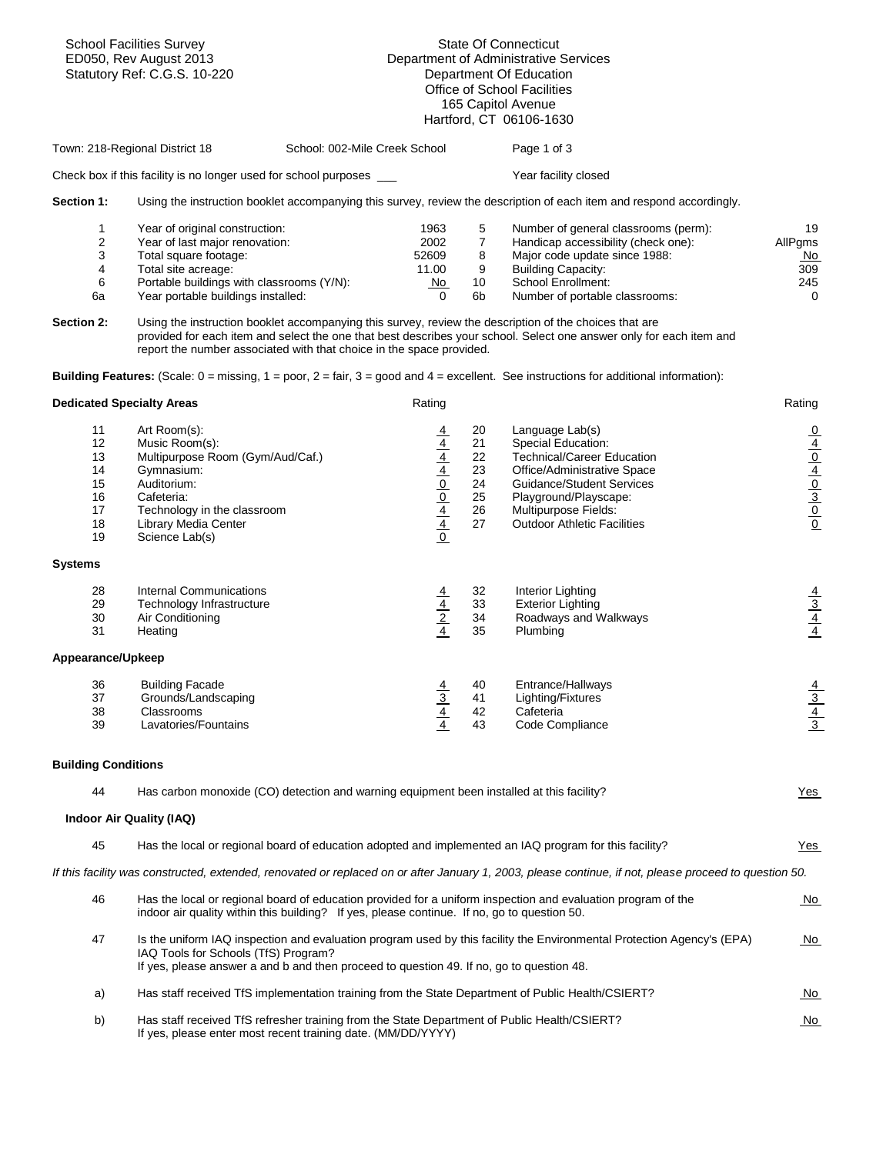|                                                    | <b>School Facilities Survey</b><br>ED050, Rev August 2013<br>Statutory Ref: C.G.S. 10-220                                                                                                                                                                                   |                               | State Of Connecticut<br>Department of Administrative Services<br>Department Of Education<br>Office of School Facilities<br>165 Capitol Avenue<br>Hartford, CT 06106-1630 |                                              |                                                                                                                                                                                                                                                                                                                                                                                                                                    |                                                                            |  |
|----------------------------------------------------|-----------------------------------------------------------------------------------------------------------------------------------------------------------------------------------------------------------------------------------------------------------------------------|-------------------------------|--------------------------------------------------------------------------------------------------------------------------------------------------------------------------|----------------------------------------------|------------------------------------------------------------------------------------------------------------------------------------------------------------------------------------------------------------------------------------------------------------------------------------------------------------------------------------------------------------------------------------------------------------------------------------|----------------------------------------------------------------------------|--|
|                                                    | Town: 218-Regional District 18                                                                                                                                                                                                                                              | School: 002-Mile Creek School |                                                                                                                                                                          |                                              | Page 1 of 3                                                                                                                                                                                                                                                                                                                                                                                                                        |                                                                            |  |
|                                                    | Check box if this facility is no longer used for school purposes ___                                                                                                                                                                                                        |                               |                                                                                                                                                                          |                                              | Year facility closed                                                                                                                                                                                                                                                                                                                                                                                                               |                                                                            |  |
| Section 1:                                         |                                                                                                                                                                                                                                                                             |                               |                                                                                                                                                                          |                                              | Using the instruction booklet accompanying this survey, review the description of each item and respond accordingly.                                                                                                                                                                                                                                                                                                               |                                                                            |  |
| 1<br>2<br>3<br>4<br>6<br>6а<br><b>Section 2:</b>   | Year of original construction:<br>Year of last major renovation:<br>Total square footage:<br>Total site acreage:<br>Portable buildings with classrooms (Y/N):<br>Year portable buildings installed:<br>report the number associated with that choice in the space provided. |                               | 1963<br>2002<br>52609<br>11.00<br>No<br>$\Omega$                                                                                                                         | 5<br>$\overline{7}$<br>8<br>9<br>10<br>6b    | Number of general classrooms (perm):<br>Handicap accessibility (check one):<br>Major code update since 1988:<br><b>Building Capacity:</b><br>School Enrollment:<br>Number of portable classrooms:<br>Using the instruction booklet accompanying this survey, review the description of the choices that are<br>provided for each item and select the one that best describes your school. Select one answer only for each item and | 19<br>AllPgms<br>No.<br>309<br>245<br>$\mathbf 0$                          |  |
|                                                    |                                                                                                                                                                                                                                                                             |                               |                                                                                                                                                                          |                                              | <b>Building Features:</b> (Scale: $0 = \text{missing}$ , $1 = \text{poor}$ , $2 = \text{fair}$ , $3 = \text{good}$ and $4 = \text{excellent}$ . See instructions for additional information):                                                                                                                                                                                                                                      |                                                                            |  |
| <b>Dedicated Specialty Areas</b>                   |                                                                                                                                                                                                                                                                             |                               | Rating                                                                                                                                                                   |                                              |                                                                                                                                                                                                                                                                                                                                                                                                                                    | Rating                                                                     |  |
| 11<br>12<br>13<br>14<br>15<br>16<br>17<br>18<br>19 | Art Room(s):<br>Music Room(s):<br>Multipurpose Room (Gym/Aud/Caf.)<br>Gymnasium:<br>Auditorium:<br>Cafeteria:<br>Technology in the classroom<br>Library Media Center<br>Science Lab(s)                                                                                      |                               | $\frac{4}{4}$ $\frac{4}{4}$ $\frac{4}{0}$ $\frac{0}{4}$ $\frac{0}{4}$ $\frac{4}{0}$                                                                                      | 20<br>21<br>22<br>23<br>24<br>25<br>26<br>27 | Language Lab(s)<br>Special Education:<br><b>Technical/Career Education</b><br>Office/Administrative Space<br><b>Guidance/Student Services</b><br>Playground/Playscape:<br>Multipurpose Fields:<br><b>Outdoor Athletic Facilities</b>                                                                                                                                                                                               | $\frac{1}{\sqrt{1}}\frac{1}{\sqrt{1}}\frac{1}{\sqrt{1}}\frac{1}{\sqrt{1}}$ |  |
| <b>Systems</b>                                     |                                                                                                                                                                                                                                                                             |                               |                                                                                                                                                                          |                                              |                                                                                                                                                                                                                                                                                                                                                                                                                                    |                                                                            |  |
| 28<br>29<br>30<br>31                               | <b>Internal Communications</b><br>Technology Infrastructure<br>Air Conditioning<br>Heating                                                                                                                                                                                  |                               | $\frac{\frac{4}{4}}{\frac{2}{4}}$                                                                                                                                        | 32<br>33<br>34<br>35                         | Interior Lighting<br><b>Exterior Lighting</b><br>Roadways and Walkways<br>Plumbing                                                                                                                                                                                                                                                                                                                                                 | $\frac{\frac{4}{3}}{\frac{4}{4}}$                                          |  |
| Appearance/Upkeep                                  |                                                                                                                                                                                                                                                                             |                               |                                                                                                                                                                          |                                              |                                                                                                                                                                                                                                                                                                                                                                                                                                    |                                                                            |  |
| 36<br>37<br>38<br>39                               | <b>Building Facade</b><br>Grounds/Landscaping<br>Classrooms<br>Lavatories/Fountains                                                                                                                                                                                         |                               | $\frac{\frac{4}{3}}{\frac{4}{4}}$                                                                                                                                        | 40<br>41<br>42<br>43                         | Entrance/Hallways<br>Lighting/Fixtures<br>Cafeteria<br>Code Compliance                                                                                                                                                                                                                                                                                                                                                             | $\frac{\frac{4}{3}}{\frac{4}{3}}$                                          |  |
| <b>Building Conditions</b>                         |                                                                                                                                                                                                                                                                             |                               |                                                                                                                                                                          |                                              |                                                                                                                                                                                                                                                                                                                                                                                                                                    |                                                                            |  |
| 44                                                 | Has carbon monoxide (CO) detection and warning equipment been installed at this facility?                                                                                                                                                                                   |                               |                                                                                                                                                                          |                                              |                                                                                                                                                                                                                                                                                                                                                                                                                                    | Yes                                                                        |  |
|                                                    | Indoor Air Quality (IAQ)                                                                                                                                                                                                                                                    |                               |                                                                                                                                                                          |                                              |                                                                                                                                                                                                                                                                                                                                                                                                                                    |                                                                            |  |
| 45                                                 |                                                                                                                                                                                                                                                                             |                               |                                                                                                                                                                          |                                              | Has the local or regional board of education adopted and implemented an IAQ program for this facility?                                                                                                                                                                                                                                                                                                                             | $Yes$                                                                      |  |
|                                                    |                                                                                                                                                                                                                                                                             |                               |                                                                                                                                                                          |                                              | If this facility was constructed, extended, renovated or replaced on or after January 1, 2003, please continue, if not, please proceed to question 50.                                                                                                                                                                                                                                                                             |                                                                            |  |
| 46                                                 | indoor air quality within this building? If yes, please continue. If no, go to question 50.                                                                                                                                                                                 |                               |                                                                                                                                                                          |                                              | Has the local or regional board of education provided for a uniform inspection and evaluation program of the                                                                                                                                                                                                                                                                                                                       | <u>No</u>                                                                  |  |
| 47                                                 | IAQ Tools for Schools (TfS) Program?<br>If yes, please answer a and b and then proceed to question 49. If no, go to question 48.                                                                                                                                            |                               |                                                                                                                                                                          |                                              | Is the uniform IAQ inspection and evaluation program used by this facility the Environmental Protection Agency's (EPA)                                                                                                                                                                                                                                                                                                             | <u>No</u>                                                                  |  |
| a)                                                 |                                                                                                                                                                                                                                                                             |                               |                                                                                                                                                                          |                                              | Has staff received TfS implementation training from the State Department of Public Health/CSIERT?                                                                                                                                                                                                                                                                                                                                  | <u>No</u>                                                                  |  |
| b)                                                 | Has staff received TfS refresher training from the State Department of Public Health/CSIERT?<br>If yes, please enter most recent training date. (MM/DD/YYYY)                                                                                                                |                               |                                                                                                                                                                          |                                              |                                                                                                                                                                                                                                                                                                                                                                                                                                    | <u>No</u>                                                                  |  |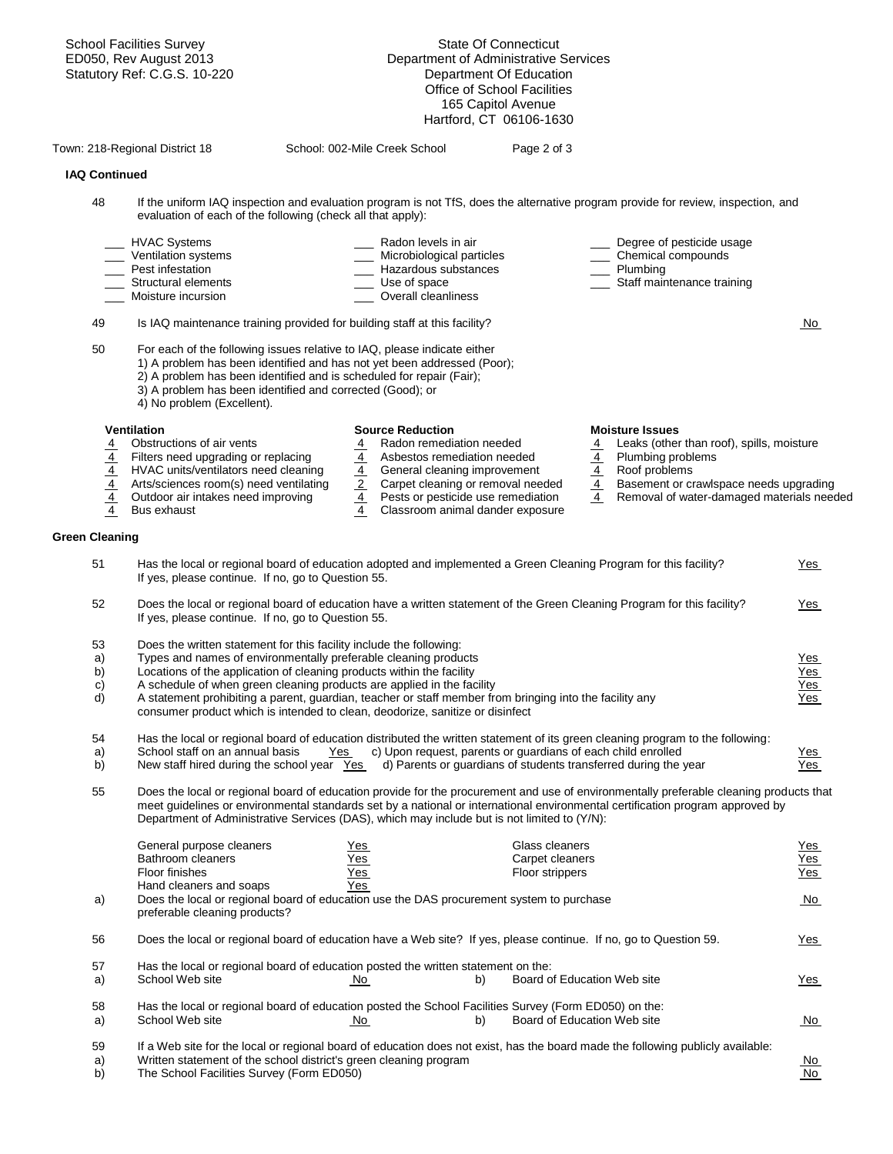|                                   | <b>School Facilities Survey</b><br>ED050, Rev August 2013<br>Statutory Ref: C.G.S. 10-220                                                                                                                                                                                                                                                                                                                                                                                             |                                                                                                                 | <b>State Of Connecticut</b><br>Department of Administrative Services<br>Department Of Education<br>Office of School Facilities<br>165 Capitol Avenue<br>Hartford, CT 06106-1630                        |                                                    |                                                                                                                                                                                                  |                                        |
|-----------------------------------|---------------------------------------------------------------------------------------------------------------------------------------------------------------------------------------------------------------------------------------------------------------------------------------------------------------------------------------------------------------------------------------------------------------------------------------------------------------------------------------|-----------------------------------------------------------------------------------------------------------------|--------------------------------------------------------------------------------------------------------------------------------------------------------------------------------------------------------|----------------------------------------------------|--------------------------------------------------------------------------------------------------------------------------------------------------------------------------------------------------|----------------------------------------|
|                                   | Town: 218-Regional District 18                                                                                                                                                                                                                                                                                                                                                                                                                                                        | School: 002-Mile Creek School                                                                                   | Page 2 of 3                                                                                                                                                                                            |                                                    |                                                                                                                                                                                                  |                                        |
| <b>IAQ Continued</b>              |                                                                                                                                                                                                                                                                                                                                                                                                                                                                                       |                                                                                                                 |                                                                                                                                                                                                        |                                                    |                                                                                                                                                                                                  |                                        |
| 48                                | If the uniform IAQ inspection and evaluation program is not TfS, does the alternative program provide for review, inspection, and<br>evaluation of each of the following (check all that apply):                                                                                                                                                                                                                                                                                      |                                                                                                                 |                                                                                                                                                                                                        |                                                    |                                                                                                                                                                                                  |                                        |
|                                   | <b>HVAC Systems</b><br>Ventilation systems<br>Pest infestation<br>Structural elements<br>Moisture incursion                                                                                                                                                                                                                                                                                                                                                                           | Radon levels in air<br>Microbiological particles<br>Hazardous substances<br>Use of space<br>Overall cleanliness |                                                                                                                                                                                                        |                                                    | Degree of pesticide usage<br>Chemical compounds<br>Plumbing<br>Staff maintenance training                                                                                                        |                                        |
| 49                                | Is IAQ maintenance training provided for building staff at this facility?                                                                                                                                                                                                                                                                                                                                                                                                             |                                                                                                                 |                                                                                                                                                                                                        |                                                    |                                                                                                                                                                                                  | <u>No</u>                              |
| 50                                | For each of the following issues relative to IAQ, please indicate either<br>1) A problem has been identified and has not yet been addressed (Poor);<br>2) A problem has been identified and is scheduled for repair (Fair);<br>3) A problem has been identified and corrected (Good); or<br>4) No problem (Excellent).                                                                                                                                                                |                                                                                                                 |                                                                                                                                                                                                        |                                                    |                                                                                                                                                                                                  |                                        |
| $\frac{\frac{4}{4}}{\frac{4}{4}}$ | <b>Ventilation</b><br>Obstructions of air vents<br>Filters need upgrading or replacing<br>HVAC units/ventilators need cleaning<br>Arts/sciences room(s) need ventilating<br>Outdoor air intakes need improving<br>Bus exhaust                                                                                                                                                                                                                                                         | <b>Source Reduction</b><br>$\frac{\frac{4}{4}}{\frac{2}{4}}$<br>$\overline{4}$                                  | Radon remediation needed<br>Asbestos remediation needed<br>General cleaning improvement<br>Carpet cleaning or removal needed<br>Pests or pesticide use remediation<br>Classroom animal dander exposure | $\frac{4}{1}$<br>$\frac{\frac{4}{4}}{\frac{4}{4}}$ | <b>Moisture Issues</b><br>Leaks (other than roof), spills, moisture<br>Plumbing problems<br>Roof problems<br>Basement or crawlspace needs upgrading<br>Removal of water-damaged materials needed |                                        |
| Green Cleaning                    |                                                                                                                                                                                                                                                                                                                                                                                                                                                                                       |                                                                                                                 |                                                                                                                                                                                                        |                                                    |                                                                                                                                                                                                  |                                        |
| 51                                | Has the local or regional board of education adopted and implemented a Green Cleaning Program for this facility?<br>If yes, please continue. If no, go to Question 55.                                                                                                                                                                                                                                                                                                                |                                                                                                                 |                                                                                                                                                                                                        |                                                    |                                                                                                                                                                                                  | <u>Yes</u>                             |
| 52                                | Does the local or regional board of education have a written statement of the Green Cleaning Program for this facility?<br>If yes, please continue. If no, go to Question 55.                                                                                                                                                                                                                                                                                                         |                                                                                                                 |                                                                                                                                                                                                        |                                                    |                                                                                                                                                                                                  | <u>Yes</u>                             |
| 53<br>a)<br>b)<br>C)<br>d)        | Does the written statement for this facility include the following:<br>Types and names of environmentally preferable cleaning products<br>Locations of the application of cleaning products within the facility<br>A schedule of when green cleaning products are applied in the facility<br>A statement prohibiting a parent, guardian, teacher or staff member from bringing into the facility any<br>consumer product which is intended to clean, deodorize, sanitize or disinfect |                                                                                                                 |                                                                                                                                                                                                        |                                                    |                                                                                                                                                                                                  | <u>Yes</u><br>Yes<br>Yes<br><u>Yes</u> |
| 54<br>a)<br>b)                    | Has the local or regional board of education distributed the written statement of its green cleaning program to the following:<br>School staff on an annual basis<br>Yes<br>New staff hired during the school year Yes                                                                                                                                                                                                                                                                |                                                                                                                 | c) Upon request, parents or guardians of each child enrolled<br>d) Parents or guardians of students transferred during the year                                                                        |                                                    |                                                                                                                                                                                                  | Yes<br><u>Yes</u>                      |
| 55                                | Does the local or regional board of education provide for the procurement and use of environmentally preferable cleaning products that<br>meet guidelines or environmental standards set by a national or international environmental certification program approved by<br>Department of Administrative Services (DAS), which may include but is not limited to (Y/N):                                                                                                                |                                                                                                                 |                                                                                                                                                                                                        |                                                    |                                                                                                                                                                                                  |                                        |
|                                   | General purpose cleaners<br>Bathroom cleaners<br>Floor finishes<br>Hand cleaners and soaps                                                                                                                                                                                                                                                                                                                                                                                            | Yes<br><u>Yes</u><br><u>Yes_</u><br>Yes                                                                         | Glass cleaners<br>Carpet cleaners<br>Floor strippers                                                                                                                                                   |                                                    |                                                                                                                                                                                                  | <u>Yes</u><br>Yes<br>Yes               |
| a)                                | Does the local or regional board of education use the DAS procurement system to purchase<br>preferable cleaning products?                                                                                                                                                                                                                                                                                                                                                             |                                                                                                                 |                                                                                                                                                                                                        |                                                    |                                                                                                                                                                                                  | <u>No</u>                              |
| 56                                | Does the local or regional board of education have a Web site? If yes, please continue. If no, go to Question 59.                                                                                                                                                                                                                                                                                                                                                                     |                                                                                                                 |                                                                                                                                                                                                        |                                                    |                                                                                                                                                                                                  | Yes                                    |
| 57<br>a)                          | Has the local or regional board of education posted the written statement on the:<br>School Web site                                                                                                                                                                                                                                                                                                                                                                                  | No.                                                                                                             | Board of Education Web site<br>b)                                                                                                                                                                      |                                                    |                                                                                                                                                                                                  | <u>Yes</u>                             |
| 58<br>a)                          | Has the local or regional board of education posted the School Facilities Survey (Form ED050) on the:<br>School Web site                                                                                                                                                                                                                                                                                                                                                              | <u>No</u>                                                                                                       | Board of Education Web site<br>b)                                                                                                                                                                      |                                                    |                                                                                                                                                                                                  | <u>No</u>                              |
| 59<br>a)<br>b)                    | If a Web site for the local or regional board of education does not exist, has the board made the following publicly available:<br>Written statement of the school district's green cleaning program<br>The School Facilities Survey (Form ED050)                                                                                                                                                                                                                                     |                                                                                                                 |                                                                                                                                                                                                        |                                                    |                                                                                                                                                                                                  | No.<br>No                              |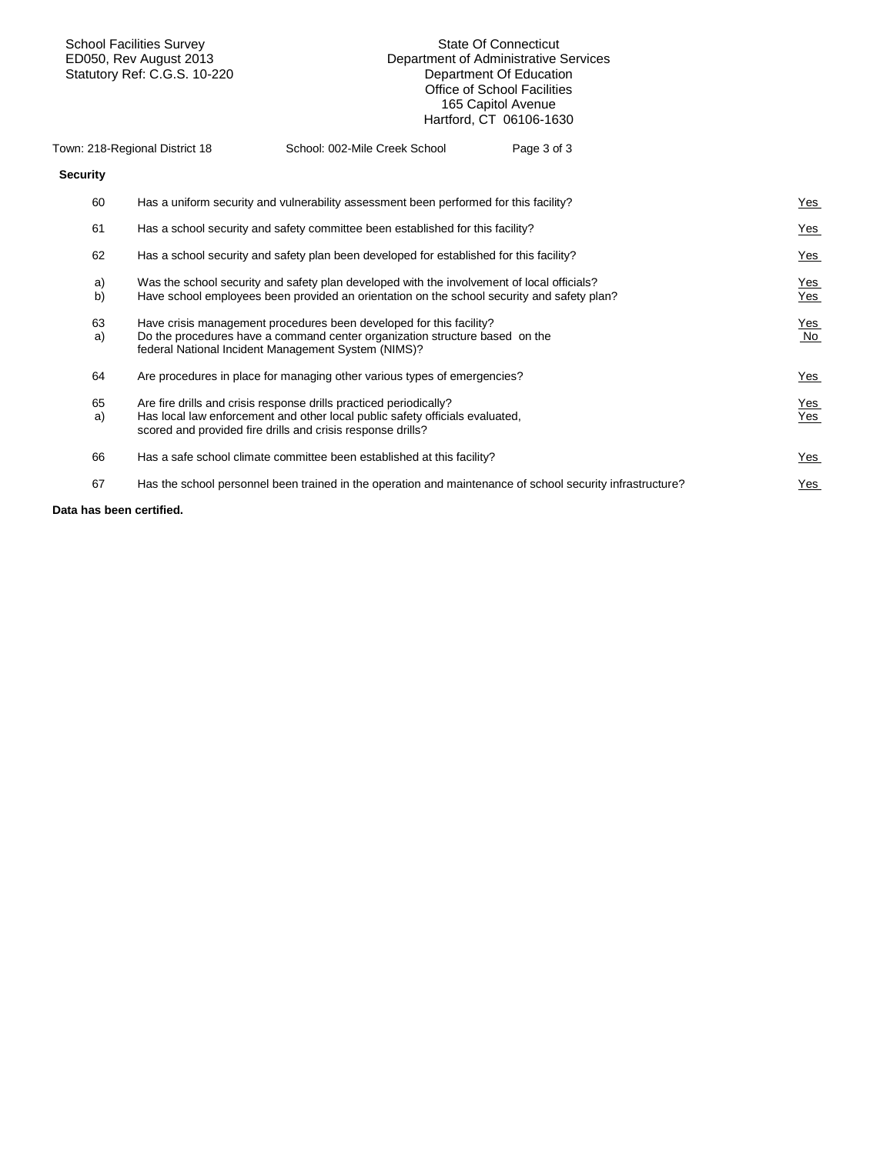School Facilities Survey State Of Connecticut

## Department of Administrative Services<br>Department Of Education Statutory Ref: C.G.S. 10-220 **Department Of Education** Office of School Facilities 165 Capitol Avenue Hartford, CT 06106-1630

|                    | Town: 218-Regional District 18 | School: 002-Mile Creek School                                                                                                                                                                                     | Page 3 of 3 |                   |
|--------------------|--------------------------------|-------------------------------------------------------------------------------------------------------------------------------------------------------------------------------------------------------------------|-------------|-------------------|
| <b>Security</b>    |                                |                                                                                                                                                                                                                   |             |                   |
| 60                 |                                | Has a uniform security and vulnerability assessment been performed for this facility?                                                                                                                             |             | Yes               |
| 61                 |                                | Has a school security and safety committee been established for this facility?                                                                                                                                    |             | <u>Yes</u>        |
| 62                 |                                | Has a school security and safety plan been developed for established for this facility?                                                                                                                           |             | Yes               |
| a)<br>$\mathsf{b}$ |                                | Was the school security and safety plan developed with the involvement of local officials?<br>Have school employees been provided an orientation on the school security and safety plan?                          |             | <u>Yes</u><br>Yes |
| 63<br>a)           |                                | Have crisis management procedures been developed for this facility?<br>Do the procedures have a command center organization structure based on the<br>federal National Incident Management System (NIMS)?         |             | <u>Yes</u><br>No  |
| 64                 |                                | Are procedures in place for managing other various types of emergencies?                                                                                                                                          |             | <u>Yes</u>        |
| 65<br>a)           |                                | Are fire drills and crisis response drills practiced periodically?<br>Has local law enforcement and other local public safety officials evaluated.<br>scored and provided fire drills and crisis response drills? |             | <u>Yes</u><br>Yes |
| 66                 |                                | Has a safe school climate committee been established at this facility?                                                                                                                                            |             | <u>Yes</u>        |
| 67                 |                                | Has the school personnel been trained in the operation and maintenance of school security infrastructure?                                                                                                         |             | Yes               |
|                    |                                |                                                                                                                                                                                                                   |             |                   |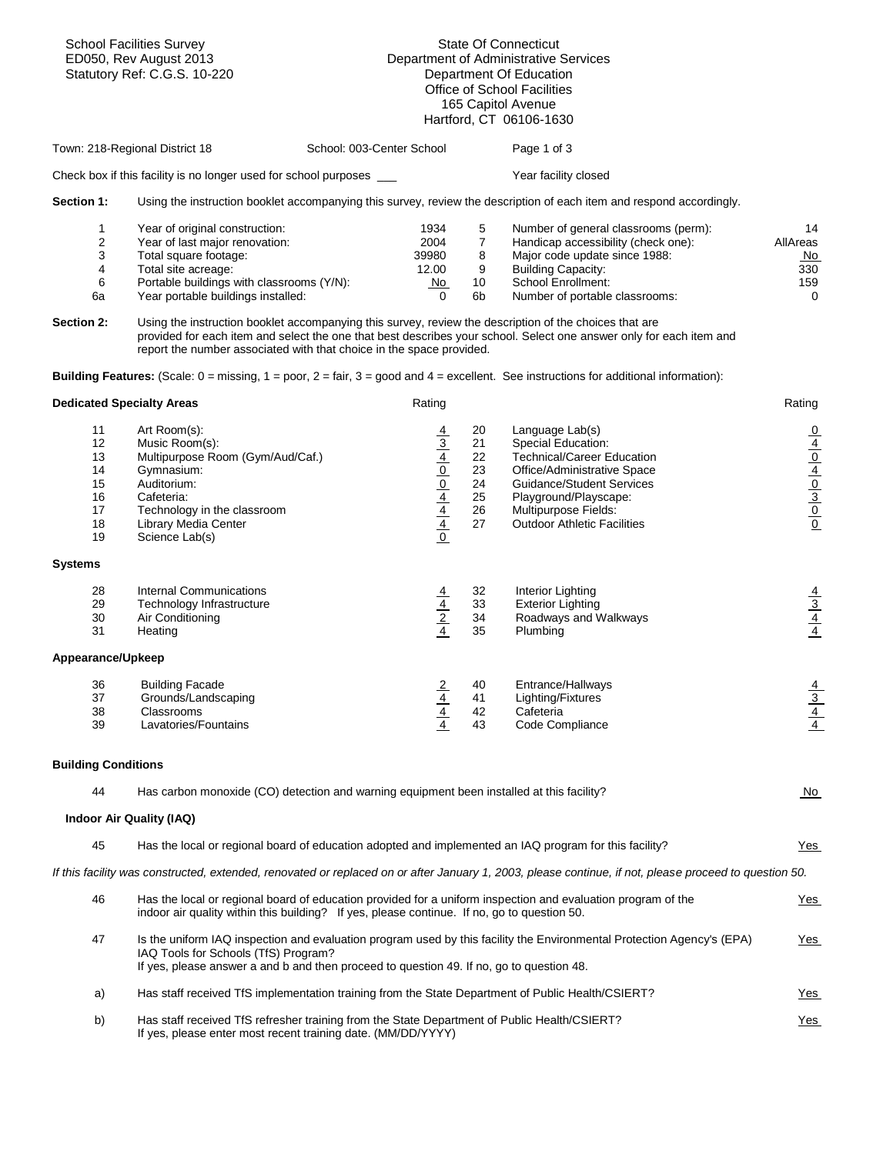|                                                                        | <b>School Facilities Survey</b><br>ED050, Rev August 2013<br>Statutory Ref: C.G.S. 10-220                                                                                                                                                                                   | <b>State Of Connecticut</b><br>Department of Administrative Services<br>Department Of Education<br>Office of School Facilities<br>165 Capitol Avenue<br>Hartford, CT 06106-1630 |                                                                         |                                           |                                                                                                                                                                                                                                                                                                                                                                                                                                                                                                                                                                                                                                     |                                                                            |
|------------------------------------------------------------------------|-----------------------------------------------------------------------------------------------------------------------------------------------------------------------------------------------------------------------------------------------------------------------------|---------------------------------------------------------------------------------------------------------------------------------------------------------------------------------|-------------------------------------------------------------------------|-------------------------------------------|-------------------------------------------------------------------------------------------------------------------------------------------------------------------------------------------------------------------------------------------------------------------------------------------------------------------------------------------------------------------------------------------------------------------------------------------------------------------------------------------------------------------------------------------------------------------------------------------------------------------------------------|----------------------------------------------------------------------------|
|                                                                        | Town: 218-Regional District 18                                                                                                                                                                                                                                              | School: 003-Center School                                                                                                                                                       |                                                                         |                                           | Page 1 of 3                                                                                                                                                                                                                                                                                                                                                                                                                                                                                                                                                                                                                         |                                                                            |
|                                                                        | Check box if this facility is no longer used for school purposes ___                                                                                                                                                                                                        |                                                                                                                                                                                 |                                                                         |                                           | Year facility closed                                                                                                                                                                                                                                                                                                                                                                                                                                                                                                                                                                                                                |                                                                            |
| Section 1:                                                             |                                                                                                                                                                                                                                                                             |                                                                                                                                                                                 |                                                                         |                                           | Using the instruction booklet accompanying this survey, review the description of each item and respond accordingly.                                                                                                                                                                                                                                                                                                                                                                                                                                                                                                                |                                                                            |
| 1<br>$\overline{\mathbf{c}}$<br>3<br>4<br>6<br>6а<br><b>Section 2:</b> | Year of original construction:<br>Year of last major renovation:<br>Total square footage:<br>Total site acreage:<br>Portable buildings with classrooms (Y/N):<br>Year portable buildings installed:<br>report the number associated with that choice in the space provided. |                                                                                                                                                                                 | 1934<br>2004<br>39980<br>12.00<br>No<br>$\Omega$                        | 5<br>$\overline{7}$<br>8<br>9<br>10<br>6b | Number of general classrooms (perm):<br>Handicap accessibility (check one):<br>Major code update since 1988:<br><b>Building Capacity:</b><br>School Enrollment:<br>Number of portable classrooms:<br>Using the instruction booklet accompanying this survey, review the description of the choices that are<br>provided for each item and select the one that best describes your school. Select one answer only for each item and<br><b>Building Features:</b> (Scale: $0 = \text{missing}$ , $1 = \text{poor}$ , $2 = \text{fair}$ , $3 = \text{good}$ and $4 = \text{excellent}$ . See instructions for additional information): | 14<br>AllAreas<br><u>No</u><br>330<br>159<br>$\Omega$                      |
| <b>Dedicated Specialty Areas</b>                                       |                                                                                                                                                                                                                                                                             |                                                                                                                                                                                 | Rating                                                                  |                                           |                                                                                                                                                                                                                                                                                                                                                                                                                                                                                                                                                                                                                                     | Rating                                                                     |
| 11<br>12<br>13                                                         | Art Room(s):<br>Music Room(s):<br>Multipurpose Room (Gym/Aud/Caf.)                                                                                                                                                                                                          |                                                                                                                                                                                 |                                                                         | 20<br>21<br>22                            | Language Lab(s)<br>Special Education:<br><b>Technical/Career Education</b>                                                                                                                                                                                                                                                                                                                                                                                                                                                                                                                                                          |                                                                            |
| 14<br>15<br>16<br>17<br>18<br>19                                       | Gymnasium:<br>Auditorium:<br>Cafeteria:<br>Technology in the classroom<br>Library Media Center<br>Science Lab(s)                                                                                                                                                            |                                                                                                                                                                                 | $\frac{4}{3}$ $\frac{4}{10}$ $\frac{0}{4}$ $\frac{4}{4}$ $\frac{4}{10}$ | 23<br>24<br>25<br>26<br>27                | Office/Administrative Space<br><b>Guidance/Student Services</b><br>Playground/Playscape:<br>Multipurpose Fields:<br><b>Outdoor Athletic Facilities</b>                                                                                                                                                                                                                                                                                                                                                                                                                                                                              | $\frac{1}{\sqrt{1}}\frac{1}{\sqrt{1}}\frac{1}{\sqrt{1}}\frac{1}{\sqrt{1}}$ |
| <b>Systems</b>                                                         |                                                                                                                                                                                                                                                                             |                                                                                                                                                                                 |                                                                         |                                           |                                                                                                                                                                                                                                                                                                                                                                                                                                                                                                                                                                                                                                     |                                                                            |
| 28<br>29<br>30<br>31                                                   | <b>Internal Communications</b><br>Technology Infrastructure<br>Air Conditioning<br>Heating                                                                                                                                                                                  |                                                                                                                                                                                 | $\frac{\frac{4}{4}}{\frac{2}{4}}$                                       | 32<br>33<br>34<br>35                      | Interior Lighting<br><b>Exterior Lighting</b><br>Roadways and Walkways<br>Plumbing                                                                                                                                                                                                                                                                                                                                                                                                                                                                                                                                                  | $\frac{\frac{4}{3}}{\frac{4}{4}}$                                          |
| Appearance/Upkeep                                                      |                                                                                                                                                                                                                                                                             |                                                                                                                                                                                 |                                                                         |                                           |                                                                                                                                                                                                                                                                                                                                                                                                                                                                                                                                                                                                                                     |                                                                            |
| 36<br>37<br>38<br>39                                                   | <b>Building Facade</b><br>Grounds/Landscaping<br>Classrooms<br>Lavatories/Fountains                                                                                                                                                                                         |                                                                                                                                                                                 | $\frac{\frac{2}{4}}{\frac{4}{4}}$                                       | 40<br>41<br>42<br>43                      | Entrance/Hallways<br>Lighting/Fixtures<br>Cafeteria<br>Code Compliance                                                                                                                                                                                                                                                                                                                                                                                                                                                                                                                                                              | $\frac{\frac{4}{3}}{\frac{4}{4}}$                                          |
| <b>Building Conditions</b>                                             |                                                                                                                                                                                                                                                                             |                                                                                                                                                                                 |                                                                         |                                           |                                                                                                                                                                                                                                                                                                                                                                                                                                                                                                                                                                                                                                     |                                                                            |
| 44                                                                     | Has carbon monoxide (CO) detection and warning equipment been installed at this facility?                                                                                                                                                                                   |                                                                                                                                                                                 |                                                                         |                                           |                                                                                                                                                                                                                                                                                                                                                                                                                                                                                                                                                                                                                                     | <u>No</u>                                                                  |
|                                                                        | Indoor Air Quality (IAQ)                                                                                                                                                                                                                                                    |                                                                                                                                                                                 |                                                                         |                                           |                                                                                                                                                                                                                                                                                                                                                                                                                                                                                                                                                                                                                                     |                                                                            |
| 45                                                                     |                                                                                                                                                                                                                                                                             |                                                                                                                                                                                 |                                                                         |                                           | Has the local or regional board of education adopted and implemented an IAQ program for this facility?                                                                                                                                                                                                                                                                                                                                                                                                                                                                                                                              | <u>Yes</u>                                                                 |
|                                                                        |                                                                                                                                                                                                                                                                             |                                                                                                                                                                                 |                                                                         |                                           | If this facility was constructed, extended, renovated or replaced on or after January 1, 2003, please continue, if not, please proceed to question 50.                                                                                                                                                                                                                                                                                                                                                                                                                                                                              |                                                                            |
| 46                                                                     | indoor air quality within this building? If yes, please continue. If no, go to question 50.                                                                                                                                                                                 |                                                                                                                                                                                 |                                                                         |                                           | Has the local or regional board of education provided for a uniform inspection and evaluation program of the                                                                                                                                                                                                                                                                                                                                                                                                                                                                                                                        | <u>Yes</u>                                                                 |
| 47                                                                     | IAQ Tools for Schools (TfS) Program?<br>If yes, please answer a and b and then proceed to question 49. If no, go to question 48.                                                                                                                                            |                                                                                                                                                                                 |                                                                         |                                           | Is the uniform IAQ inspection and evaluation program used by this facility the Environmental Protection Agency's (EPA)                                                                                                                                                                                                                                                                                                                                                                                                                                                                                                              | Yes                                                                        |
| a)                                                                     |                                                                                                                                                                                                                                                                             |                                                                                                                                                                                 |                                                                         |                                           | Has staff received TfS implementation training from the State Department of Public Health/CSIERT?                                                                                                                                                                                                                                                                                                                                                                                                                                                                                                                                   | <u>Yes</u>                                                                 |
| b)                                                                     | Has staff received TfS refresher training from the State Department of Public Health/CSIERT?<br>If yes, please enter most recent training date. (MM/DD/YYYY)                                                                                                                |                                                                                                                                                                                 |                                                                         |                                           |                                                                                                                                                                                                                                                                                                                                                                                                                                                                                                                                                                                                                                     | Yes                                                                        |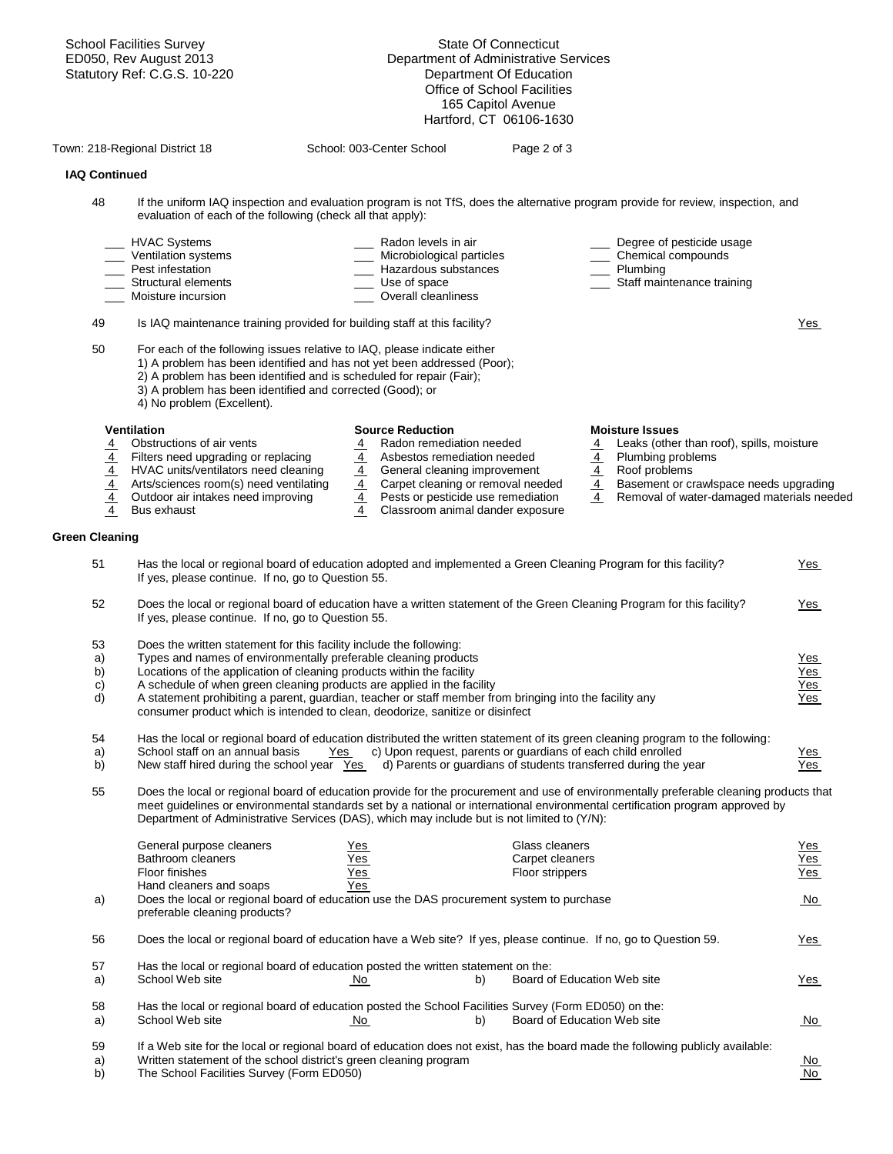|                                   | <b>School Facilities Survey</b>                                                                                                                                                                                                                                                                                                                                        |                                  | <b>State Of Connecticut</b>                                       |               |                                                 |                   |
|-----------------------------------|------------------------------------------------------------------------------------------------------------------------------------------------------------------------------------------------------------------------------------------------------------------------------------------------------------------------------------------------------------------------|----------------------------------|-------------------------------------------------------------------|---------------|-------------------------------------------------|-------------------|
|                                   | ED050, Rev August 2013<br>Statutory Ref: C.G.S. 10-220                                                                                                                                                                                                                                                                                                                 |                                  | Department of Administrative Services<br>Department Of Education  |               |                                                 |                   |
|                                   |                                                                                                                                                                                                                                                                                                                                                                        |                                  | Office of School Facilities                                       |               |                                                 |                   |
|                                   |                                                                                                                                                                                                                                                                                                                                                                        |                                  | 165 Capitol Avenue                                                |               |                                                 |                   |
|                                   |                                                                                                                                                                                                                                                                                                                                                                        |                                  | Hartford, CT 06106-1630                                           |               |                                                 |                   |
|                                   | Town: 218-Regional District 18                                                                                                                                                                                                                                                                                                                                         | School: 003-Center School        | Page 2 of 3                                                       |               |                                                 |                   |
| <b>IAQ Continued</b>              |                                                                                                                                                                                                                                                                                                                                                                        |                                  |                                                                   |               |                                                 |                   |
| 48                                | If the uniform IAQ inspection and evaluation program is not TfS, does the alternative program provide for review, inspection, and                                                                                                                                                                                                                                      |                                  |                                                                   |               |                                                 |                   |
|                                   | evaluation of each of the following (check all that apply):                                                                                                                                                                                                                                                                                                            |                                  |                                                                   |               |                                                 |                   |
|                                   | <b>HVAC Systems</b><br>Ventilation systems                                                                                                                                                                                                                                                                                                                             | Radon levels in air              | Microbiological particles                                         |               | Degree of pesticide usage<br>Chemical compounds |                   |
|                                   | Pest infestation                                                                                                                                                                                                                                                                                                                                                       |                                  | Hazardous substances                                              |               | Plumbing                                        |                   |
|                                   | Structural elements                                                                                                                                                                                                                                                                                                                                                    | Use of space                     |                                                                   |               | Staff maintenance training                      |                   |
|                                   | Moisture incursion                                                                                                                                                                                                                                                                                                                                                     | Overall cleanliness              |                                                                   |               |                                                 |                   |
| 49                                | Is IAQ maintenance training provided for building staff at this facility?                                                                                                                                                                                                                                                                                              |                                  |                                                                   |               |                                                 | Yes               |
| 50                                | For each of the following issues relative to IAQ, please indicate either                                                                                                                                                                                                                                                                                               |                                  |                                                                   |               |                                                 |                   |
|                                   | 1) A problem has been identified and has not yet been addressed (Poor);<br>2) A problem has been identified and is scheduled for repair (Fair);                                                                                                                                                                                                                        |                                  |                                                                   |               |                                                 |                   |
|                                   | 3) A problem has been identified and corrected (Good); or                                                                                                                                                                                                                                                                                                              |                                  |                                                                   |               |                                                 |                   |
|                                   | 4) No problem (Excellent).                                                                                                                                                                                                                                                                                                                                             |                                  |                                                                   |               |                                                 |                   |
|                                   | <b>Ventilation</b>                                                                                                                                                                                                                                                                                                                                                     | <b>Source Reduction</b>          |                                                                   |               | <b>Moisture Issues</b>                          |                   |
| $\overline{4}$                    | Obstructions of air vents                                                                                                                                                                                                                                                                                                                                              | $\overline{4}$                   | Radon remediation needed                                          | <u>4</u>      | Leaks (other than roof), spills, moisture       |                   |
|                                   | Filters need upgrading or replacing                                                                                                                                                                                                                                                                                                                                    | $\overline{4}$<br>$\overline{4}$ | Asbestos remediation needed                                       | $\frac{4}{4}$ | Plumbing problems<br>Roof problems              |                   |
| $\frac{\frac{4}{4}}{\frac{4}{4}}$ | HVAC units/ventilators need cleaning<br>Arts/sciences room(s) need ventilating                                                                                                                                                                                                                                                                                         |                                  | General cleaning improvement<br>Carpet cleaning or removal needed |               | Basement or crawlspace needs upgrading          |                   |
|                                   | Outdoor air intakes need improving                                                                                                                                                                                                                                                                                                                                     | $\frac{4}{4}$                    | Pests or pesticide use remediation                                | $\frac{4}{4}$ | Removal of water-damaged materials needed       |                   |
|                                   | Bus exhaust                                                                                                                                                                                                                                                                                                                                                            | $\overline{4}$                   | Classroom animal dander exposure                                  |               |                                                 |                   |
| <b>Green Cleaning</b>             |                                                                                                                                                                                                                                                                                                                                                                        |                                  |                                                                   |               |                                                 |                   |
| 51                                | Has the local or regional board of education adopted and implemented a Green Cleaning Program for this facility?<br>If yes, please continue. If no, go to Question 55.                                                                                                                                                                                                 |                                  |                                                                   |               |                                                 | <u>Yes</u>        |
| 52                                | Does the local or regional board of education have a written statement of the Green Cleaning Program for this facility?<br>If yes, please continue. If no, go to Question 55.                                                                                                                                                                                          |                                  |                                                                   |               |                                                 | <u>Yes</u>        |
| 53                                | Does the written statement for this facility include the following:                                                                                                                                                                                                                                                                                                    |                                  |                                                                   |               |                                                 |                   |
| a)                                | Types and names of environmentally preferable cleaning products                                                                                                                                                                                                                                                                                                        |                                  |                                                                   |               |                                                 | <u>Yes</u>        |
| b)                                | Locations of the application of cleaning products within the facility                                                                                                                                                                                                                                                                                                  |                                  |                                                                   |               |                                                 | Yes               |
| C)<br>$\overline{d}$              | A schedule of when green cleaning products are applied in the facility<br>A statement prohibiting a parent, guardian, teacher or staff member from bringing into the facility any                                                                                                                                                                                      |                                  |                                                                   |               |                                                 | Yes<br><u>Yes</u> |
|                                   | consumer product which is intended to clean, deodorize, sanitize or disinfect                                                                                                                                                                                                                                                                                          |                                  |                                                                   |               |                                                 |                   |
| 54                                | Has the local or regional board of education distributed the written statement of its green cleaning program to the following:                                                                                                                                                                                                                                         |                                  |                                                                   |               |                                                 |                   |
| a)                                | School staff on an annual basis                                                                                                                                                                                                                                                                                                                                        | Yes                              | c) Upon request, parents or quardians of each child enrolled      |               |                                                 | <u>Yes</u>        |
| b)                                | New staff hired during the school year Yes                                                                                                                                                                                                                                                                                                                             |                                  | d) Parents or guardians of students transferred during the year   |               |                                                 | Yes               |
| 55                                | Does the local or regional board of education provide for the procurement and use of environmentally preferable cleaning products that<br>meet guidelines or environmental standards set by a national or international environmental certification program approved by<br>Department of Administrative Services (DAS), which may include but is not limited to (Y/N): |                                  |                                                                   |               |                                                 |                   |
|                                   | General purpose cleaners                                                                                                                                                                                                                                                                                                                                               | <u>Yes</u>                       | Glass cleaners                                                    |               |                                                 | <u>Yes</u>        |
|                                   | Bathroom cleaners                                                                                                                                                                                                                                                                                                                                                      | <u>Yes</u>                       | Carpet cleaners                                                   |               |                                                 | Yes               |
|                                   | Floor finishes<br>Hand cleaners and soaps                                                                                                                                                                                                                                                                                                                              | <u>Yes</u><br>Yes                | Floor strippers                                                   |               |                                                 | Yes               |
| a)                                | Does the local or regional board of education use the DAS procurement system to purchase<br>preferable cleaning products?                                                                                                                                                                                                                                              |                                  |                                                                   |               |                                                 | <u>No</u>         |
|                                   |                                                                                                                                                                                                                                                                                                                                                                        |                                  |                                                                   |               |                                                 |                   |
| 56                                | Does the local or regional board of education have a Web site? If yes, please continue. If no, go to Question 59.                                                                                                                                                                                                                                                      |                                  |                                                                   |               |                                                 | <u>Yes</u>        |
| 57<br>a)                          | Has the local or regional board of education posted the written statement on the:<br>School Web site                                                                                                                                                                                                                                                                   | No.                              | b)<br>Board of Education Web site                                 |               |                                                 | <u>Yes</u>        |
| 58                                | Has the local or regional board of education posted the School Facilities Survey (Form ED050) on the:                                                                                                                                                                                                                                                                  |                                  |                                                                   |               |                                                 |                   |
| a)                                | School Web site                                                                                                                                                                                                                                                                                                                                                        | <u>No</u>                        | Board of Education Web site<br>b)                                 |               |                                                 | <u>No</u>         |
| 59                                | If a Web site for the local or regional board of education does not exist, has the board made the following publicly available:                                                                                                                                                                                                                                        |                                  |                                                                   |               |                                                 |                   |
| a)<br>b)                          | Written statement of the school district's green cleaning program<br>The School Facilities Survey (Form ED050)                                                                                                                                                                                                                                                         |                                  |                                                                   |               |                                                 | <u>No</u><br>No   |
|                                   |                                                                                                                                                                                                                                                                                                                                                                        |                                  |                                                                   |               |                                                 |                   |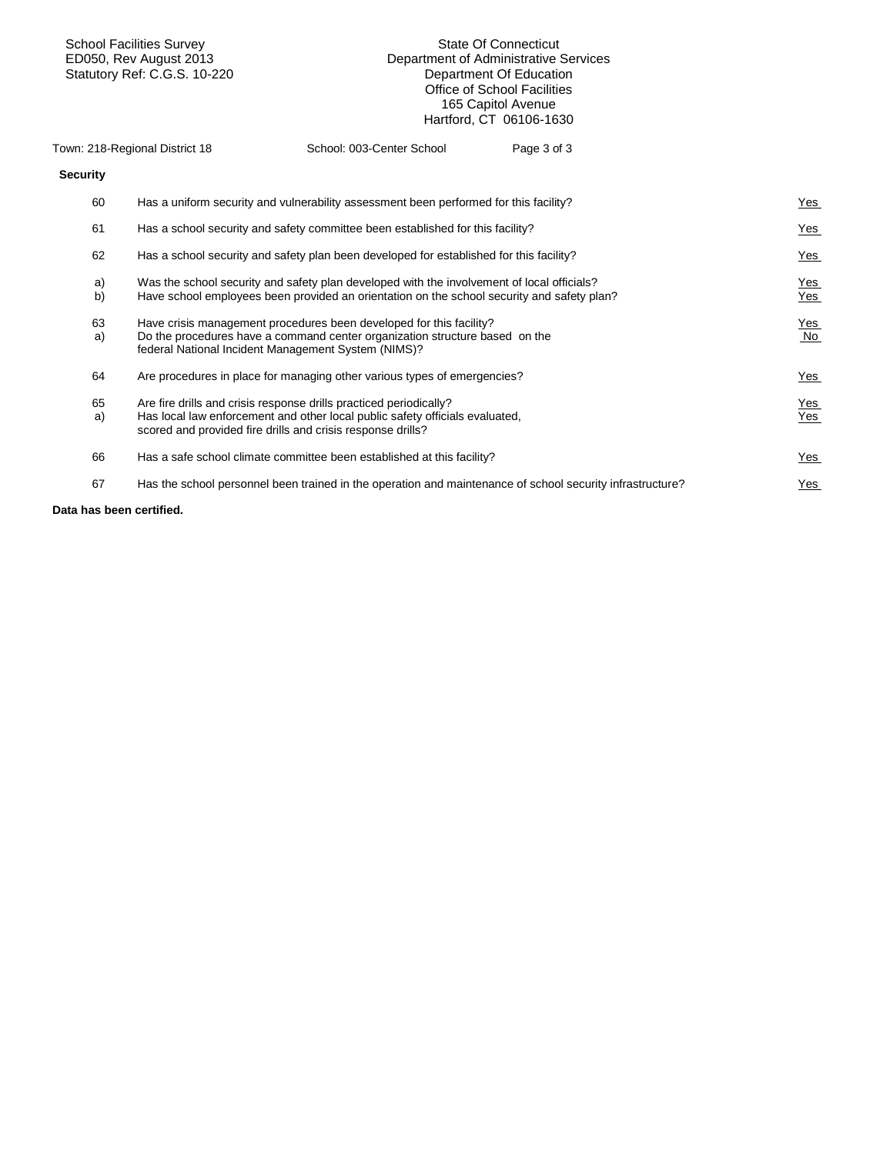School Facilities Survey State Of Connecticut Department of Administrative Services<br>Department Of Education Statutory Ref: C.G.S. 10-220 **Department Of Education** Office of School Facilities 165 Capitol Avenue Hartford, CT 06106-1630

|                    | Town: 218-Regional District 18 | School: 003-Center School                                                                                                                                                                                         | Page 3 of 3 |                     |
|--------------------|--------------------------------|-------------------------------------------------------------------------------------------------------------------------------------------------------------------------------------------------------------------|-------------|---------------------|
| <b>Security</b>    |                                |                                                                                                                                                                                                                   |             |                     |
| 60                 |                                | Has a uniform security and vulnerability assessment been performed for this facility?                                                                                                                             |             | <u>Yes</u>          |
| 61                 |                                | Has a school security and safety committee been established for this facility?                                                                                                                                    |             | <u>Yes</u>          |
| 62                 |                                | Has a school security and safety plan been developed for established for this facility?                                                                                                                           |             | <u>Yes</u>          |
| a)<br>$\mathsf{b}$ |                                | Was the school security and safety plan developed with the involvement of local officials?<br>Have school employees been provided an orientation on the school security and safety plan?                          |             | <u>Yes</u><br>Yes   |
| 63<br>a)           |                                | Have crisis management procedures been developed for this facility?<br>Do the procedures have a command center organization structure based on the<br>federal National Incident Management System (NIMS)?         |             | <u>Yes</u><br>No    |
| 64                 |                                | Are procedures in place for managing other various types of emergencies?                                                                                                                                          |             | <u>Yes</u>          |
| 65<br>a)           |                                | Are fire drills and crisis response drills practiced periodically?<br>Has local law enforcement and other local public safety officials evaluated,<br>scored and provided fire drills and crisis response drills? |             | <u>Yes</u><br>$Yes$ |
| 66                 |                                | Has a safe school climate committee been established at this facility?                                                                                                                                            |             | <u>Yes</u>          |
| 67                 |                                | Has the school personnel been trained in the operation and maintenance of school security infrastructure?                                                                                                         |             | Yes                 |
|                    |                                |                                                                                                                                                                                                                   |             |                     |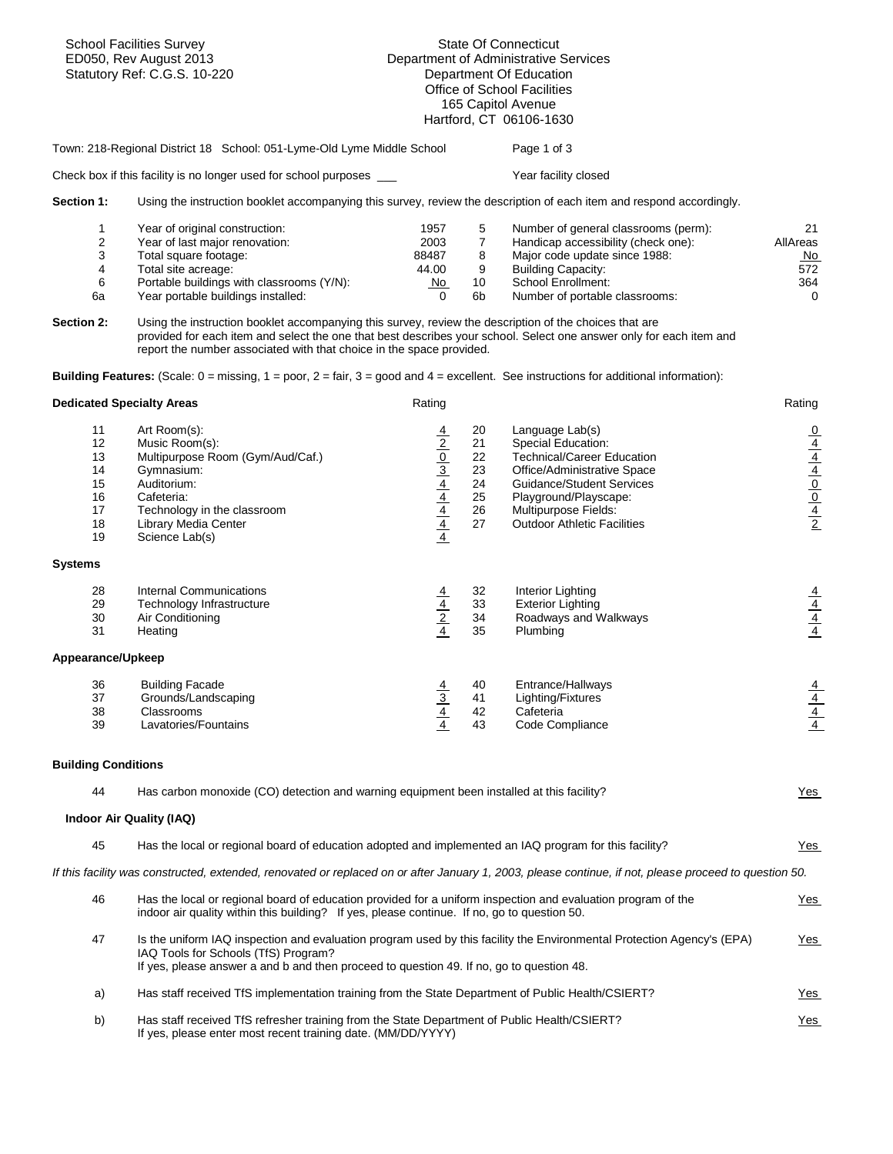|                                                    | <b>School Facilities Survey</b><br>ED050, Rev August 2013<br>Statutory Ref: C.G.S. 10-220                                                                                                                                                                                                                                                                                             | <b>State Of Connecticut</b><br>Department of Administrative Services<br>Department Of Education<br>Office of School Facilities<br>165 Capitol Avenue<br>Hartford, CT 06106-1630 |                                              |                                                                                                                                                                                                                                                                                                                          |                                                                                     |  |
|----------------------------------------------------|---------------------------------------------------------------------------------------------------------------------------------------------------------------------------------------------------------------------------------------------------------------------------------------------------------------------------------------------------------------------------------------|---------------------------------------------------------------------------------------------------------------------------------------------------------------------------------|----------------------------------------------|--------------------------------------------------------------------------------------------------------------------------------------------------------------------------------------------------------------------------------------------------------------------------------------------------------------------------|-------------------------------------------------------------------------------------|--|
|                                                    | Town: 218-Regional District 18 School: 051-Lyme-Old Lyme Middle School                                                                                                                                                                                                                                                                                                                |                                                                                                                                                                                 |                                              | Page 1 of 3                                                                                                                                                                                                                                                                                                              |                                                                                     |  |
|                                                    | Check box if this facility is no longer used for school purposes ___                                                                                                                                                                                                                                                                                                                  |                                                                                                                                                                                 |                                              | Year facility closed                                                                                                                                                                                                                                                                                                     |                                                                                     |  |
| Section 1:                                         |                                                                                                                                                                                                                                                                                                                                                                                       |                                                                                                                                                                                 |                                              | Using the instruction booklet accompanying this survey, review the description of each item and respond accordingly.                                                                                                                                                                                                     |                                                                                     |  |
| 1<br>2<br>3<br>4<br>6<br>6а<br>Section 2:          | Year of original construction:<br>Year of last major renovation:<br>Total square footage:<br>Total site acreage:<br>Portable buildings with classrooms (Y/N):<br>Year portable buildings installed:<br>Using the instruction booklet accompanying this survey, review the description of the choices that are<br>report the number associated with that choice in the space provided. | 1957<br>2003<br>88487<br>44.00<br>No<br>$\Omega$                                                                                                                                | 5<br>$\overline{7}$<br>8<br>9<br>10<br>6b    | Number of general classrooms (perm):<br>Handicap accessibility (check one):<br>Major code update since 1988:<br><b>Building Capacity:</b><br>School Enrollment:<br>Number of portable classrooms:<br>provided for each item and select the one that best describes your school. Select one answer only for each item and | 21<br>AllAreas<br>No<br>572<br>364<br>$\mathbf 0$                                   |  |
|                                                    | <b>Building Features:</b> (Scale: $0 = \text{missing}$ , $1 = \text{poor}$ , $2 = \text{fair}$ , $3 = \text{good}$ and $4 = \text{excellent}$ . See instructions for additional information):                                                                                                                                                                                         |                                                                                                                                                                                 |                                              |                                                                                                                                                                                                                                                                                                                          |                                                                                     |  |
|                                                    | <b>Dedicated Specialty Areas</b>                                                                                                                                                                                                                                                                                                                                                      | Rating                                                                                                                                                                          |                                              |                                                                                                                                                                                                                                                                                                                          | Rating                                                                              |  |
| 11<br>12<br>13<br>14<br>15<br>16<br>17<br>18<br>19 | Art Room(s):<br>Music Room(s):<br>Multipurpose Room (Gym/Aud/Caf.)<br>Gymnasium:<br>Auditorium:<br>Cafeteria:<br>Technology in the classroom<br>Library Media Center<br>Science Lab(s)                                                                                                                                                                                                | $\frac{4}{2}$ $\frac{0}{3}$ $\frac{4}{4}$ $\frac{4}{4}$ $\frac{4}{4}$ $\frac{4}{4}$                                                                                             | 20<br>21<br>22<br>23<br>24<br>25<br>26<br>27 | Language Lab(s)<br>Special Education:<br><b>Technical/Career Education</b><br>Office/Administrative Space<br><b>Guidance/Student Services</b><br>Playground/Playscape:<br>Multipurpose Fields:<br><b>Outdoor Athletic Facilities</b>                                                                                     | $\frac{0}{4}$ $\frac{4}{4}$ $\frac{4}{0}$ $\frac{0}{0}$ $\frac{4}{4}$ $\frac{2}{2}$ |  |
| <b>Systems</b>                                     |                                                                                                                                                                                                                                                                                                                                                                                       |                                                                                                                                                                                 |                                              |                                                                                                                                                                                                                                                                                                                          |                                                                                     |  |
| 28<br>29<br>30<br>31                               | <b>Internal Communications</b><br>Technology Infrastructure<br>Air Conditioning<br>Heating                                                                                                                                                                                                                                                                                            | $\frac{\frac{4}{4}}{\frac{2}{4}}$                                                                                                                                               | 32<br>33<br>34<br>35                         | Interior Lighting<br><b>Exterior Lighting</b><br>Roadways and Walkways<br>Plumbing                                                                                                                                                                                                                                       | $\frac{\frac{4}{4}}{\frac{4}{4}}$                                                   |  |
| Appearance/Upkeep                                  |                                                                                                                                                                                                                                                                                                                                                                                       |                                                                                                                                                                                 |                                              |                                                                                                                                                                                                                                                                                                                          |                                                                                     |  |
| 36<br>37<br>38<br>39                               | <b>Building Facade</b><br>Grounds/Landscaping<br>Classrooms<br>Lavatories/Fountains                                                                                                                                                                                                                                                                                                   | $\frac{\frac{4}{3}}{\frac{4}{4}}$                                                                                                                                               | 40<br>41<br>42<br>43                         | Entrance/Hallways<br>Lighting/Fixtures<br>Cafeteria<br>Code Compliance                                                                                                                                                                                                                                                   | $\frac{\frac{4}{4}}{\frac{4}{4}}$                                                   |  |
| <b>Building Conditions</b>                         |                                                                                                                                                                                                                                                                                                                                                                                       |                                                                                                                                                                                 |                                              |                                                                                                                                                                                                                                                                                                                          |                                                                                     |  |
| 44                                                 | Has carbon monoxide (CO) detection and warning equipment been installed at this facility?                                                                                                                                                                                                                                                                                             |                                                                                                                                                                                 |                                              |                                                                                                                                                                                                                                                                                                                          | Yes                                                                                 |  |
|                                                    | Indoor Air Quality (IAQ)                                                                                                                                                                                                                                                                                                                                                              |                                                                                                                                                                                 |                                              |                                                                                                                                                                                                                                                                                                                          |                                                                                     |  |
| 45                                                 | Has the local or regional board of education adopted and implemented an IAQ program for this facility?                                                                                                                                                                                                                                                                                |                                                                                                                                                                                 |                                              |                                                                                                                                                                                                                                                                                                                          | <u>Yes</u>                                                                          |  |
|                                                    |                                                                                                                                                                                                                                                                                                                                                                                       |                                                                                                                                                                                 |                                              | If this facility was constructed, extended, renovated or replaced on or after January 1, 2003, please continue, if not, please proceed to question 50.                                                                                                                                                                   |                                                                                     |  |
| 46                                                 | Has the local or regional board of education provided for a uniform inspection and evaluation program of the<br>indoor air quality within this building? If yes, please continue. If no, go to question 50.                                                                                                                                                                           |                                                                                                                                                                                 |                                              |                                                                                                                                                                                                                                                                                                                          | <u>Yes</u>                                                                          |  |
| 47                                                 | IAQ Tools for Schools (TfS) Program?<br>If yes, please answer a and b and then proceed to question 49. If no, go to question 48.                                                                                                                                                                                                                                                      |                                                                                                                                                                                 |                                              | Is the uniform IAQ inspection and evaluation program used by this facility the Environmental Protection Agency's (EPA)                                                                                                                                                                                                   | $Yes$                                                                               |  |
| a)                                                 | Has staff received TfS implementation training from the State Department of Public Health/CSIERT?                                                                                                                                                                                                                                                                                     |                                                                                                                                                                                 |                                              |                                                                                                                                                                                                                                                                                                                          | <u>Yes</u>                                                                          |  |
| b)                                                 | Has staff received TfS refresher training from the State Department of Public Health/CSIERT?<br>If yes, please enter most recent training date. (MM/DD/YYYY)                                                                                                                                                                                                                          |                                                                                                                                                                                 |                                              |                                                                                                                                                                                                                                                                                                                          | Yes                                                                                 |  |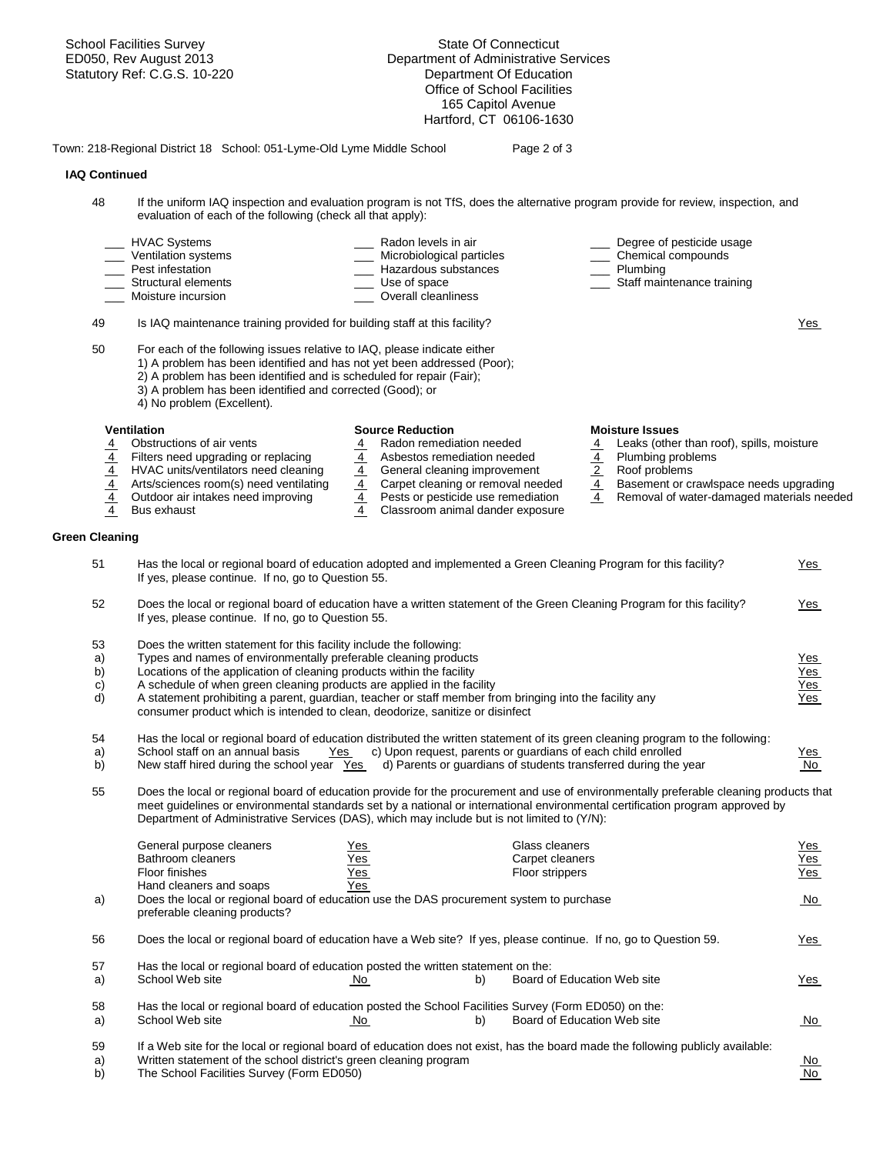School Facilities Survey State Of Connecticut ED050, Rev August 2013 Department of Administrative Services Statutory Ref: C.G.S. 10-220 Department Of Education Office of School Facilities 165 Capitol Avenue Hartford, CT 06106-1630 Town: 218-Regional District 18 School: 051-Lyme-Old Lyme Middle School Page 2 of 3  **IAQ Continued**  48 If the uniform IAQ inspection and evaluation program is not TfS, does the alternative program provide for review, inspection, and evaluation of each of the following (check all that apply): HVAC Systems \_\_\_\_ Radon levels in air \_\_\_ Degree of pesticide usage Ventilation systems \_\_\_ \_\_\_ Microbiological particles \_\_\_\_ Chemical compounds Pest infestation determines and the control of the Mazardous substances and the Plumbing Christian Staff main<br>Control of the Christian Christian Christian Christian Christian Christian Christian Christian Christian Chris<br>C \_\_\_ Structural elements \_\_\_ Use of space \_\_\_ Staff maintenance training Moisture incursion **Moisture incursion Noisture** incursion 49 Is IAQ maintenance training provided for building staff at this facility? Yes 50 For each of the following issues relative to IAQ, please indicate either 1) A problem has been identified and has not yet been addressed (Poor); 2) A problem has been identified and is scheduled for repair (Fair); 3) A problem has been identified and corrected (Good); or 4) No problem (Excellent). **Ventilation Moisture Issues**<br>
4 **Construction Source Reduction**<br>
4 **Radon remediation needed** 4 **Leaks (other**<br>
4 **Construction** 4 **Construction** 4 Obstructions of air vents 4 Radon remediation needed 4 Leaks (other than roof), spills, moisture 4 Filters need upgrading or replacing 4 Asbestos remediation needed 4 Plumbing problems  $\frac{4}{4}$  HVAC units/ventilators need cleaning  $\frac{4}{4}$  General cleaning improvement  $\frac{2}{4}$  Roof problems<br>4 Arts/sciences room(s) need ventilating  $\frac{4}{4}$  Carpet cleaning or removal needed  $\frac{4}{4}$  Basement or cr 4 Arts/sciences room(s) need ventilating  $\frac{4}{4}$  Carpet cleaning or removal needed  $\frac{4}{4}$  Basement or crawlspace needs upgrading  $\frac{4}{4}$  Pests or pesticide use remediation  $\frac{4}{4}$  Removal of water-damaged materia Removal of water-damaged materials needed 4 Bus exhaust 4 Classroom animal dander exposure **Green Cleaning**  51 Has the local or regional board of education adopted and implemented a Green Cleaning Program for this facility? Yes If yes, please continue. If no, go to Question 55. 52 Does the local or regional board of education have a written statement of the Green Cleaning Program for this facility? Yes If yes, please continue. If no, go to Question 55. 53 Does the written statement for this facility include the following: a) Types and names of environmentally preferable cleaning products and the state of the state of the Yes b) Locations of the application of cleaning products within the facility  $\frac{1}{2}$  Yes c) A schedule of when green cleaning products are applied in the facility Yes d) A statement prohibiting a parent, guardian, teacher or staff member from bringing into the facility any Yes consumer product which is intended to clean, deodorize, sanitize or disinfect 54 Has the local or regional board of education distributed the written statement of its green cleaning program to the following: a) School staff on an annual basis Yes c) Upon request, parents or guardians of each child enrolled Yes b) New staff hired during the school year Yes d) Parents or guardians of students transferred during the year No 55 Does the local or regional board of education provide for the procurement and use of environmentally preferable cleaning products that meet guidelines or environmental standards set by a national or international environmental certification program approved by Department of Administrative Services (DAS), which may include but is not limited to (Y/N): General purpose cleaners Yes Glass cleaners Yes Bathroom cleaners The Yes Carpet cleaners Carpet cleaners Carpet cleaners Carpet cleaners Floor finishes Yes Floor strippers Yes Hand cleaners and soaps a) Does the local or regional board of education use the DAS procurement system to purchase No No No preferable cleaning products? 56 Does the local or regional board of education have a Web site? If yes, please continue. If no, go to Question 59. 57 Has the local or regional board of education posted the written statement on the: a) School Web site  $\overline{N_{0}}$  No b) Board of Education Web site Yes 58 Has the local or regional board of education posted the School Facilities Survey (Form ED050) on the: a) School Web site **No No** b) Board of Education Web site **No No** 59 If a Web site for the local or regional board of education does not exist, has the board made the following publicly available: a) Mritten statement of the school district's green cleaning program and the school of the School Facilities Survey (Form ED050) No characteristic method of the School Facilities Survey (Form ED050) and the school Faciliti b) The School Facilities Survey (Form ED050)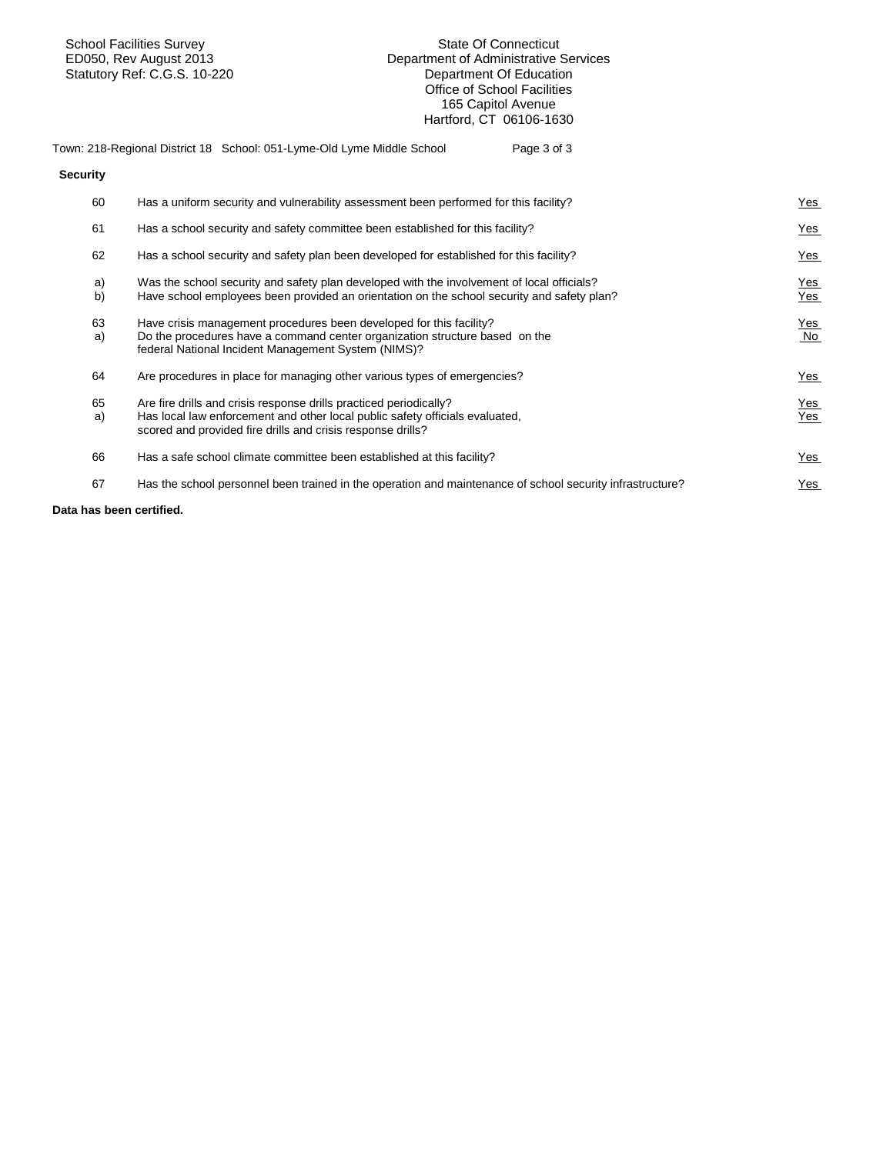Statutory Ref: C.G.S. 10-220

**Security** 

## School Facilities Survey State Of Connecticut<br>ED050, Rev August 2013 Department of Administrative S Department of Administrative Services<br>Department Of Education Office of School Facilities 165 Capitol Avenue Hartford, CT 06106-1630

## Town: 218-Regional District 18 School: 051-Lyme-Old Lyme Middle School Page 3 of 3

| 60       | Has a uniform security and vulnerability assessment been performed for this facility?                                                                                                                             | <u>Yes</u>        |
|----------|-------------------------------------------------------------------------------------------------------------------------------------------------------------------------------------------------------------------|-------------------|
| 61       | Has a school security and safety committee been established for this facility?                                                                                                                                    | <b>Yes</b>        |
| 62       | Has a school security and safety plan been developed for established for this facility?                                                                                                                           | Yes               |
| a)<br>b) | Was the school security and safety plan developed with the involvement of local officials?<br>Have school employees been provided an orientation on the school security and safety plan?                          | Yes<br>Yes        |
| 63<br>a) | Have crisis management procedures been developed for this facility?<br>Do the procedures have a command center organization structure based on the<br>federal National Incident Management System (NIMS)?         | <b>Yes</b><br>No  |
| 64       | Are procedures in place for managing other various types of emergencies?                                                                                                                                          | Yes               |
| 65<br>a) | Are fire drills and crisis response drills practiced periodically?<br>Has local law enforcement and other local public safety officials evaluated,<br>scored and provided fire drills and crisis response drills? | <u>Yes</u><br>Yes |
| 66       | Has a safe school climate committee been established at this facility?                                                                                                                                            | $Yes$             |
| 67       | Has the school personnel been trained in the operation and maintenance of school security infrastructure?                                                                                                         | Yes               |
|          |                                                                                                                                                                                                                   |                   |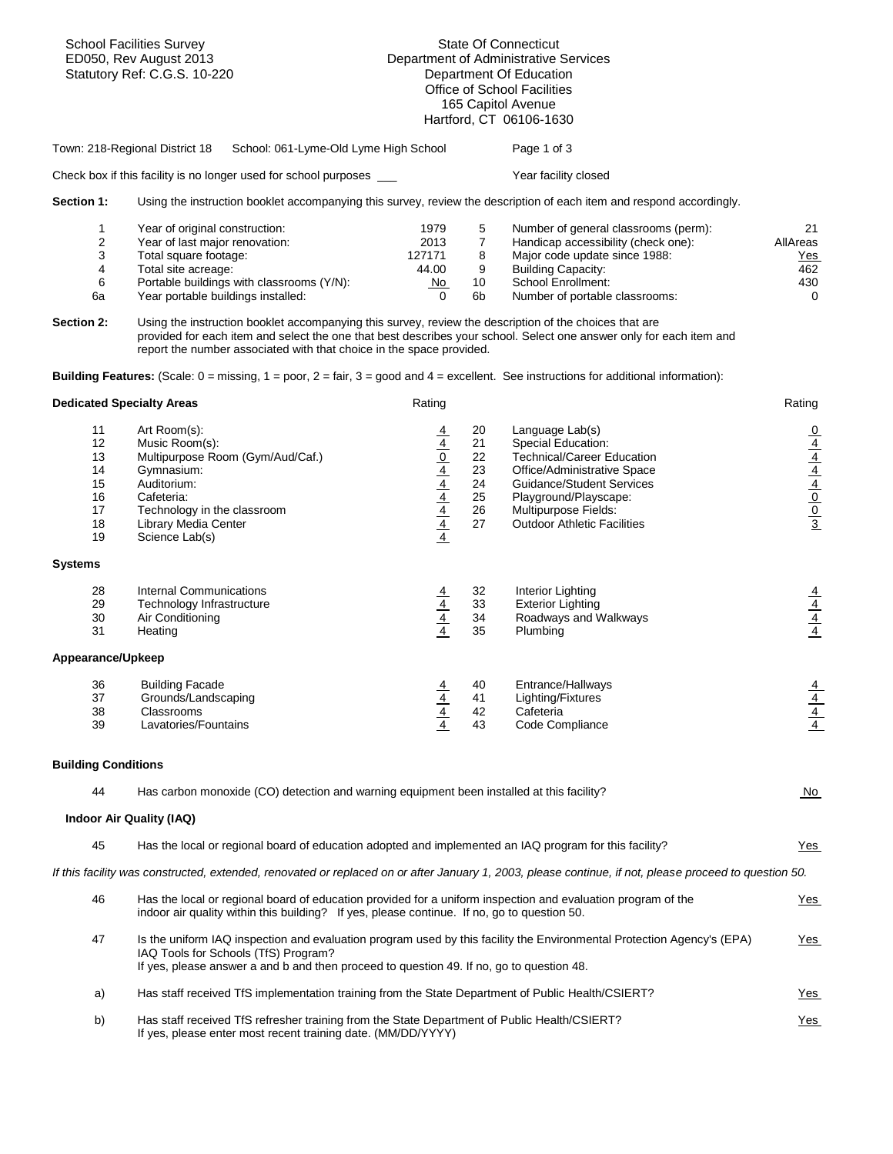| <b>School Facilities Survey</b><br>ED050, Rev August 2013<br>Statutory Ref: C.G.S. 10-220 |                                                                                                                                                                                                                                                                                                       | <b>State Of Connecticut</b><br>Department of Administrative Services<br>Department Of Education<br>Office of School Facilities<br>165 Capitol Avenue<br>Hartford, CT 06106-1630 |                                                        |                                                                                                                                                                                                                                      |                                                                                                    |  |
|-------------------------------------------------------------------------------------------|-------------------------------------------------------------------------------------------------------------------------------------------------------------------------------------------------------------------------------------------------------------------------------------------------------|---------------------------------------------------------------------------------------------------------------------------------------------------------------------------------|--------------------------------------------------------|--------------------------------------------------------------------------------------------------------------------------------------------------------------------------------------------------------------------------------------|----------------------------------------------------------------------------------------------------|--|
|                                                                                           | School: 061-Lyme-Old Lyme High School<br>Town: 218-Regional District 18                                                                                                                                                                                                                               |                                                                                                                                                                                 |                                                        | Page 1 of 3                                                                                                                                                                                                                          |                                                                                                    |  |
|                                                                                           | Check box if this facility is no longer used for school purposes ___                                                                                                                                                                                                                                  |                                                                                                                                                                                 |                                                        | Year facility closed                                                                                                                                                                                                                 |                                                                                                    |  |
| Section 1:                                                                                | Using the instruction booklet accompanying this survey, review the description of each item and respond accordingly.                                                                                                                                                                                  |                                                                                                                                                                                 |                                                        |                                                                                                                                                                                                                                      |                                                                                                    |  |
| 1<br>$\overline{2}$<br>3<br>4<br>6<br>6a                                                  | Year of original construction:<br>Year of last major renovation:<br>Total square footage:<br>Total site acreage:<br>Portable buildings with classrooms (Y/N):<br>Year portable buildings installed:                                                                                                   | 1979<br>2013<br>127171<br>44.00<br>No<br>$\Omega$                                                                                                                               | 5<br>$\overline{7}$<br>8<br>9<br>10 <sup>°</sup><br>6b | Number of general classrooms (perm):<br>Handicap accessibility (check one):<br>Major code update since 1988:<br><b>Building Capacity:</b><br>School Enrollment:<br>Number of portable classrooms:                                    | 21<br>AllAreas<br><b>Yes</b><br>462<br>430<br>$\Omega$                                             |  |
| Section 2:                                                                                | Using the instruction booklet accompanying this survey, review the description of the choices that are<br>provided for each item and select the one that best describes your school. Select one answer only for each item and<br>report the number associated with that choice in the space provided. |                                                                                                                                                                                 |                                                        |                                                                                                                                                                                                                                      |                                                                                                    |  |
|                                                                                           | Building Features: (Scale: $0 =$ missing, $1 =$ poor, $2 =$ fair, $3 =$ good and $4 =$ excellent. See instructions for additional information):                                                                                                                                                       |                                                                                                                                                                                 |                                                        |                                                                                                                                                                                                                                      |                                                                                                    |  |
| <b>Dedicated Specialty Areas</b>                                                          |                                                                                                                                                                                                                                                                                                       | Rating                                                                                                                                                                          |                                                        |                                                                                                                                                                                                                                      | Rating                                                                                             |  |
| 11<br>12<br>13<br>14<br>15<br>16<br>17<br>18<br>19                                        | Art Room(s):<br>Music Room(s):<br>Multipurpose Room (Gym/Aud/Caf.)<br>Gymnasium:<br>Auditorium:<br>Cafeteria:<br>Technology in the classroom<br><b>Library Media Center</b><br>Science Lab(s)                                                                                                         | $\frac{4}{4}$ $\frac{0}{4}$ $\frac{4}{4}$ $\frac{4}{4}$ $\frac{4}{4}$ $\frac{4}{4}$ $\frac{4}{4}$                                                                               | 20<br>21<br>22<br>23<br>24<br>25<br>26<br>27           | Language Lab(s)<br>Special Education:<br><b>Technical/Career Education</b><br>Office/Administrative Space<br><b>Guidance/Student Services</b><br>Playground/Playscape:<br>Multipurpose Fields:<br><b>Outdoor Athletic Facilities</b> | $\frac{0}{4}$<br>$\frac{4}{4}$<br>$\frac{4}{4}$<br>$\frac{4}{4}$<br>$\frac{4}{0}$<br>$\frac{0}{3}$ |  |
| <b>Systems</b>                                                                            |                                                                                                                                                                                                                                                                                                       |                                                                                                                                                                                 |                                                        |                                                                                                                                                                                                                                      |                                                                                                    |  |
| 28<br>29<br>30<br>31                                                                      | <b>Internal Communications</b><br>Technology Infrastructure<br>Air Conditioning<br>Heating                                                                                                                                                                                                            | $\frac{\frac{4}{4}}{\frac{4}{4}}$                                                                                                                                               | 32<br>33<br>34<br>35                                   | Interior Lighting<br><b>Exterior Lighting</b><br>Roadways and Walkways<br>Plumbing                                                                                                                                                   | $\frac{\frac{4}{4}}{\frac{4}{4}}$                                                                  |  |
| Appearance/Upkeep                                                                         |                                                                                                                                                                                                                                                                                                       |                                                                                                                                                                                 |                                                        |                                                                                                                                                                                                                                      |                                                                                                    |  |
| 36<br>37<br>38<br>39                                                                      | <b>Building Facade</b><br>Grounds/Landscaping<br>Classrooms<br>Lavatories/Fountains                                                                                                                                                                                                                   | $\frac{\frac{4}{4}}{\frac{4}{4}}$                                                                                                                                               | 40<br>41<br>42<br>43                                   | Entrance/Hallways<br>Lighting/Fixtures<br>Cafeteria<br>Code Compliance                                                                                                                                                               | $\frac{\frac{4}{4}}{\frac{4}{4}}$                                                                  |  |
| <b>Building Conditions</b>                                                                |                                                                                                                                                                                                                                                                                                       |                                                                                                                                                                                 |                                                        |                                                                                                                                                                                                                                      |                                                                                                    |  |
| 44                                                                                        | Has carbon monoxide (CO) detection and warning equipment been installed at this facility?                                                                                                                                                                                                             |                                                                                                                                                                                 |                                                        |                                                                                                                                                                                                                                      | <u>No</u>                                                                                          |  |
|                                                                                           | Indoor Air Quality (IAQ)                                                                                                                                                                                                                                                                              |                                                                                                                                                                                 |                                                        |                                                                                                                                                                                                                                      |                                                                                                    |  |
| 45                                                                                        | Has the local or regional board of education adopted and implemented an IAQ program for this facility?                                                                                                                                                                                                |                                                                                                                                                                                 |                                                        |                                                                                                                                                                                                                                      | Yes                                                                                                |  |
|                                                                                           |                                                                                                                                                                                                                                                                                                       |                                                                                                                                                                                 |                                                        | If this facility was constructed, extended, renovated or replaced on or after January 1, 2003, please continue, if not, please proceed to question 50.                                                                               |                                                                                                    |  |
| 46                                                                                        | Has the local or regional board of education provided for a uniform inspection and evaluation program of the<br>indoor air quality within this building? If yes, please continue. If no, go to question 50.                                                                                           |                                                                                                                                                                                 |                                                        |                                                                                                                                                                                                                                      | <u>Yes</u>                                                                                         |  |
| 47                                                                                        | Is the uniform IAQ inspection and evaluation program used by this facility the Environmental Protection Agency's (EPA)<br>Yes<br>IAQ Tools for Schools (TfS) Program?<br>If yes, please answer a and b and then proceed to question 49. If no, go to question 48.                                     |                                                                                                                                                                                 |                                                        |                                                                                                                                                                                                                                      |                                                                                                    |  |
| a)                                                                                        | Has staff received TfS implementation training from the State Department of Public Health/CSIERT?                                                                                                                                                                                                     |                                                                                                                                                                                 |                                                        |                                                                                                                                                                                                                                      | Yes                                                                                                |  |
| b)                                                                                        | Has staff received TfS refresher training from the State Department of Public Health/CSIERT?<br>Yes<br>If yes, please enter most recent training date. (MM/DD/YYYY)                                                                                                                                   |                                                                                                                                                                                 |                                                        |                                                                                                                                                                                                                                      |                                                                                                    |  |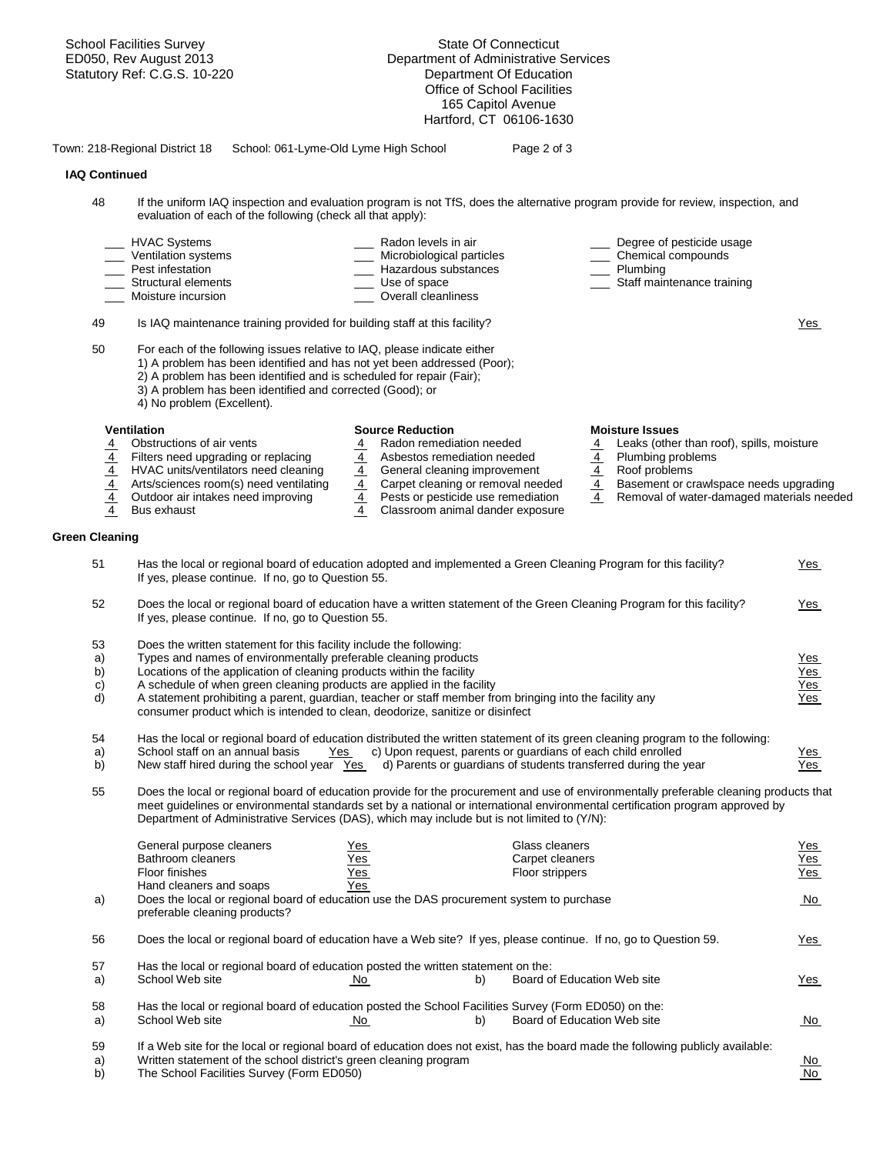School Facilities Survey State Of Connecticut ED050, Rev August 2013 Department of Administrative Services Statutory Ref: C.G.S. 10-220 Department Of Education Office of School Facilities 165 Capitol Avenue Hartford, CT 06106-1630 Town: 218-Regional District 18 School: 061-Lyme-Old Lyme High School Page 2 of 3  **IAQ Continued**  48 If the uniform IAQ inspection and evaluation program is not TfS, does the alternative program provide for review, inspection, and evaluation of each of the following (check all that apply): HVAC Systems \_\_\_\_ Radon levels in air \_\_\_ Degree of pesticide usage Ventilation systems \_\_\_ \_\_\_ Microbiological particles \_\_\_\_ Chemical compounds Pest infestation determines and the control of the Mazardous substances and the Plumbing Christian Staff main<br>Control of the Christian Christian Christian Christian Christian Christian Christian Christian Christian Chris<br>C Use of space **Later Elements Later Elements Later Staff maintenance training** Moisture incursion **Moisture incursion Noisture** incursion 49 Is IAQ maintenance training provided for building staff at this facility? Yes 50 For each of the following issues relative to IAQ, please indicate either 1) A problem has been identified and has not yet been addressed (Poor); 2) A problem has been identified and is scheduled for repair (Fair); 3) A problem has been identified and corrected (Good); or 4) No problem (Excellent). **Ventilation Moisture Issues**<br>
4 **Construction Source Reduction**<br>
4 **Radon remediation needed** 4 **Leaks (other**<br>
4 **Construction** 4 **Construction** 4 Obstructions of air vents 4 Radon remediation needed 4 Leaks (other than roof), spills, moisture 4 Filters need upgrading or replacing 4 Asbestos remediation needed 4 Plumbing problems  $\frac{4}{4}$  HVAC units/ventilators need cleaning  $\frac{4}{4}$  General cleaning improvement  $\frac{4}{4}$  Roof problems<br>4 Arts/sciences room(s) need ventilating  $\frac{4}{4}$  Carpet cleaning or removal needed  $\frac{4}{4}$  Basement or cr 4 Arts/sciences room(s) need ventilating  $\frac{4}{4}$  Carpet cleaning or removal needed  $\frac{4}{4}$  Basement or crawlspace needs upgrading  $\frac{4}{4}$  Pests or pesticide use remediation  $\frac{4}{4}$  Removal of water-damaged materia  $\overline{4}$  Removal of water-damaged materials needed 4 Bus exhaust 4 Classroom animal dander exposure **Green Cleaning**  51 Has the local or regional board of education adopted and implemented a Green Cleaning Program for this facility? Yes If yes, please continue. If no, go to Question 55. 52 Does the local or regional board of education have a written statement of the Green Cleaning Program for this facility? Yes If yes, please continue. If no, go to Question 55. 53 Does the written statement for this facility include the following: a) Types and names of environmentally preferable cleaning products and the state of the state of the Yes b) Locations of the application of cleaning products within the facility  $\frac{1}{2}$  Yes c) A schedule of when green cleaning products are applied in the facility Yes d) A statement prohibiting a parent, guardian, teacher or staff member from bringing into the facility any Yes consumer product which is intended to clean, deodorize, sanitize or disinfect 54 Has the local or regional board of education distributed the written statement of its green cleaning program to the following: a) School staff on an annual basis Yes c) Upon request, parents or guardians of each child enrolled Yes b) New staff hired during the school year Yes d) Parents or guardians of students transferred during the year Yes 55 Does the local or regional board of education provide for the procurement and use of environmentally preferable cleaning products that meet guidelines or environmental standards set by a national or international environmental certification program approved by Department of Administrative Services (DAS), which may include but is not limited to (Y/N): General purpose cleaners Yes Glass cleaners Yes Bathroom cleaners The Yes Carpet cleaners Carpet cleaners Carpet cleaners Carpet cleaners Floor finishes Yes Floor strippers Yes Hand cleaners and soaps a) Does the local or regional board of education use the DAS procurement system to purchase No No No preferable cleaning products? 56 Does the local or regional board of education have a Web site? If yes, please continue. If no, go to Question 59. 57 Has the local or regional board of education posted the written statement on the: a) School Web site  $\overline{N_{0}}$  No b) Board of Education Web site Yes 58 Has the local or regional board of education posted the School Facilities Survey (Form ED050) on the: a) School Web site **No No** b) Board of Education Web site **No No** 59 If a Web site for the local or regional board of education does not exist, has the board made the following publicly available: a) Mritten statement of the school district's green cleaning program and the school of the School Facilities Survey (Form ED050) No characteristic method of the School Facilities Survey (Form ED050) and the school Faciliti b) The School Facilities Survey (Form ED050)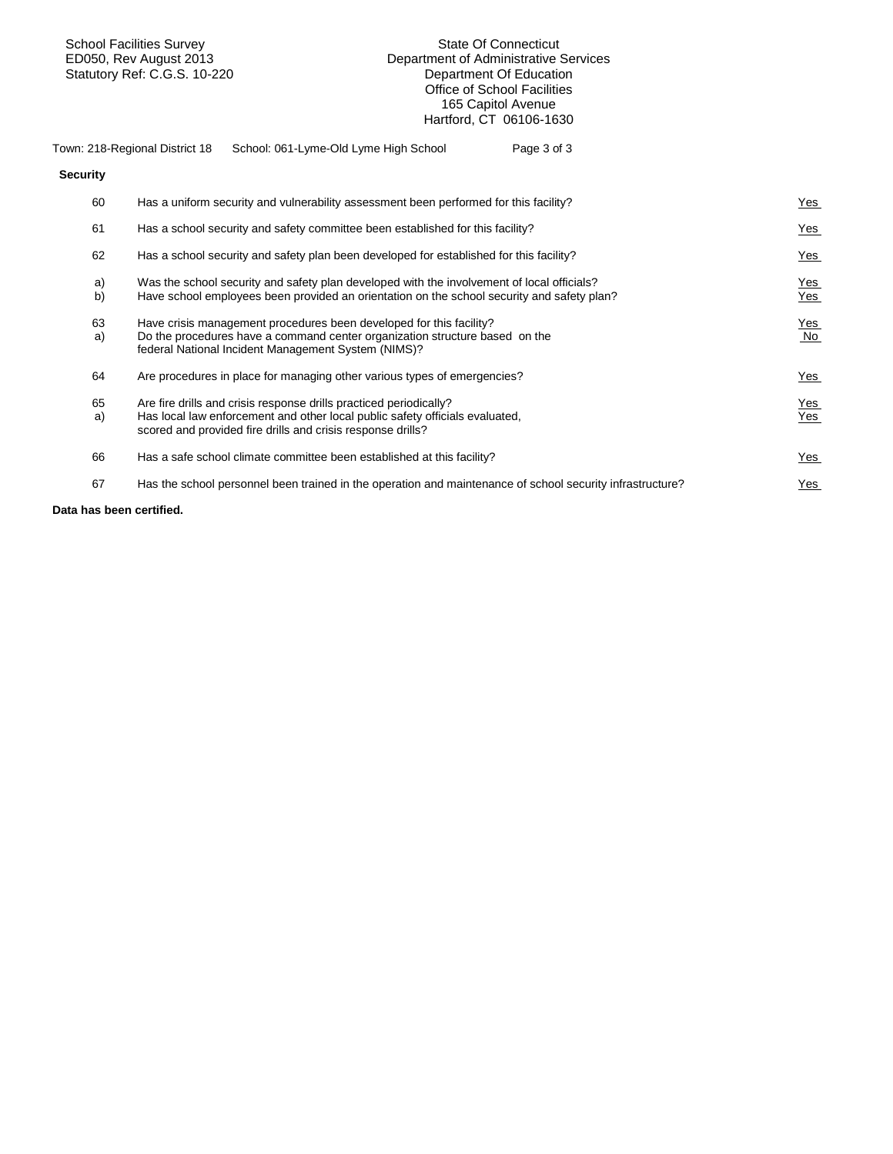**Security** 

#### School Facilities Survey State Of Connecticut Department of Administrative Services<br>Department Of Education Statutory Ref: C.G.S. 10-220 **Department Of Education** Office of School Facilities 165 Capitol Avenue Hartford, CT 06106-1630

| Town: 218-Regional District 18 | School: 061-Lyme-Old Lyme High School | Page 3 of 3 |
|--------------------------------|---------------------------------------|-------------|
|--------------------------------|---------------------------------------|-------------|

| 60       | Has a uniform security and vulnerability assessment been performed for this facility?                                                                                                                             | Yes               |
|----------|-------------------------------------------------------------------------------------------------------------------------------------------------------------------------------------------------------------------|-------------------|
| 61       | Has a school security and safety committee been established for this facility?                                                                                                                                    | <b>Yes</b>        |
| 62       | Has a school security and safety plan been developed for established for this facility?                                                                                                                           | Yes               |
| a)<br>b) | Was the school security and safety plan developed with the involvement of local officials?<br>Have school employees been provided an orientation on the school security and safety plan?                          | $Yes$<br>Yes      |
| 63<br>a) | Have crisis management procedures been developed for this facility?<br>Do the procedures have a command center organization structure based on the<br>federal National Incident Management System (NIMS)?         | <b>Yes</b><br>No  |
| 64       | Are procedures in place for managing other various types of emergencies?                                                                                                                                          | Yes               |
| 65<br>a) | Are fire drills and crisis response drills practiced periodically?<br>Has local law enforcement and other local public safety officials evaluated,<br>scored and provided fire drills and crisis response drills? | <b>Yes</b><br>Yes |
| 66       | Has a safe school climate committee been established at this facility?                                                                                                                                            | <b>Yes</b>        |
| 67       | Has the school personnel been trained in the operation and maintenance of school security infrastructure?                                                                                                         | Yes               |
|          |                                                                                                                                                                                                                   |                   |